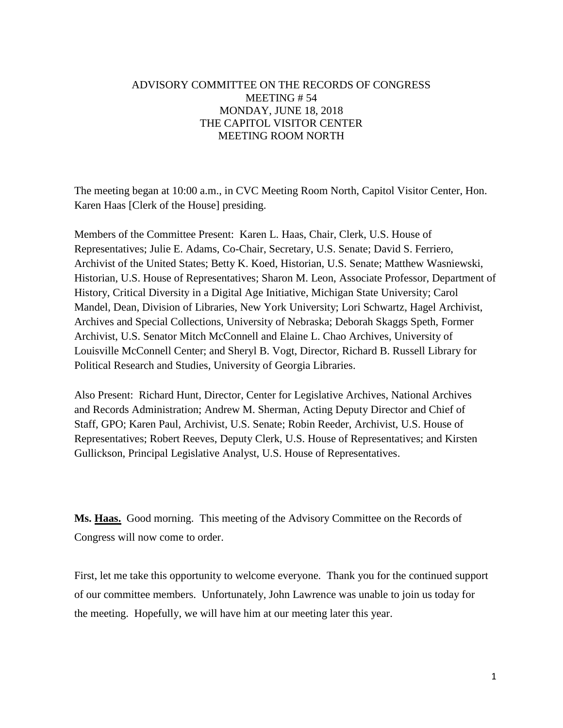## ADVISORY COMMITTEE ON THE RECORDS OF CONGRESS MEETING # 54 MONDAY, JUNE 18, 2018 THE CAPITOL VISITOR CENTER MEETING ROOM NORTH

The meeting began at 10:00 a.m., in CVC Meeting Room North, Capitol Visitor Center, Hon. Karen Haas [Clerk of the House] presiding.

Members of the Committee Present: Karen L. Haas, Chair, Clerk, U.S. House of Representatives; Julie E. Adams, Co-Chair, Secretary, U.S. Senate; David S. Ferriero, Archivist of the United States; Betty K. Koed, Historian, U.S. Senate; Matthew Wasniewski, Historian, U.S. House of Representatives; Sharon M. Leon, Associate Professor, Department of History, Critical Diversity in a Digital Age Initiative, Michigan State University; Carol Mandel, Dean, Division of Libraries, New York University; Lori Schwartz, Hagel Archivist, Archives and Special Collections, University of Nebraska; Deborah Skaggs Speth, Former Archivist, U.S. Senator Mitch McConnell and Elaine L. Chao Archives, University of Louisville McConnell Center; and Sheryl B. Vogt, Director, Richard B. Russell Library for Political Research and Studies, University of Georgia Libraries.

Also Present: Richard Hunt, Director, Center for Legislative Archives, National Archives and Records Administration; Andrew M. Sherman, Acting Deputy Director and Chief of Staff, GPO; Karen Paul, Archivist, U.S. Senate; Robin Reeder, Archivist, U.S. House of Representatives; Robert Reeves, Deputy Clerk, U.S. House of Representatives; and Kirsten Gullickson, Principal Legislative Analyst, U.S. House of Representatives.

**Ms. Haas.** Good morning. This meeting of the Advisory Committee on the Records of Congress will now come to order.

First, let me take this opportunity to welcome everyone. Thank you for the continued support of our committee members. Unfortunately, John Lawrence was unable to join us today for the meeting. Hopefully, we will have him at our meeting later this year.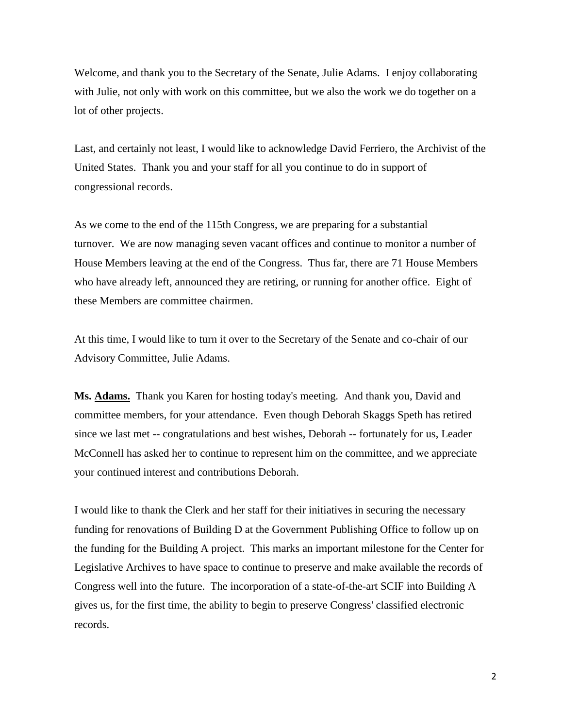Welcome, and thank you to the Secretary of the Senate, Julie Adams. I enjoy collaborating with Julie, not only with work on this committee, but we also the work we do together on a lot of other projects.

Last, and certainly not least, I would like to acknowledge David Ferriero, the Archivist of the United States. Thank you and your staff for all you continue to do in support of congressional records.

As we come to the end of the 115th Congress, we are preparing for a substantial turnover. We are now managing seven vacant offices and continue to monitor a number of House Members leaving at the end of the Congress. Thus far, there are 71 House Members who have already left, announced they are retiring, or running for another office. Eight of these Members are committee chairmen.

At this time, I would like to turn it over to the Secretary of the Senate and co-chair of our Advisory Committee, Julie Adams.

**Ms. Adams.** Thank you Karen for hosting today's meeting. And thank you, David and committee members, for your attendance. Even though Deborah Skaggs Speth has retired since we last met -- congratulations and best wishes, Deborah -- fortunately for us, Leader McConnell has asked her to continue to represent him on the committee, and we appreciate your continued interest and contributions Deborah.

I would like to thank the Clerk and her staff for their initiatives in securing the necessary funding for renovations of Building D at the Government Publishing Office to follow up on the funding for the Building A project. This marks an important milestone for the Center for Legislative Archives to have space to continue to preserve and make available the records of Congress well into the future. The incorporation of a state-of-the-art SCIF into Building A gives us, for the first time, the ability to begin to preserve Congress' classified electronic records.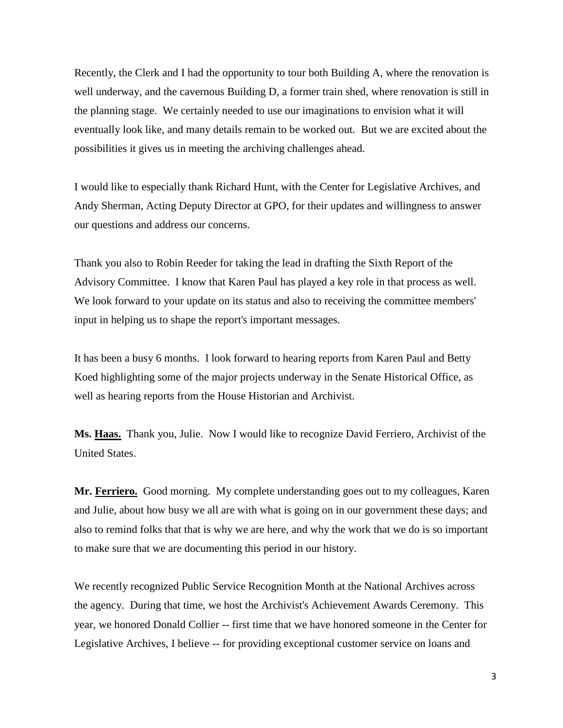Recently, the Clerk and I had the opportunity to tour both Building A, where the renovation is well underway, and the cavernous Building D, a former train shed, where renovation is still in the planning stage. We certainly needed to use our imaginations to envision what it will eventually look like, and many details remain to be worked out. But we are excited about the possibilities it gives us in meeting the archiving challenges ahead.

I would like to especially thank Richard Hunt, with the Center for Legislative Archives, and Andy Sherman, Acting Deputy Director at GPO, for their updates and willingness to answer our questions and address our concerns.

Thank you also to Robin Reeder for taking the lead in drafting the Sixth Report of the Advisory Committee. I know that Karen Paul has played a key role in that process as well. We look forward to your update on its status and also to receiving the committee members' input in helping us to shape the report's important messages.

It has been a busy 6 months. I look forward to hearing reports from Karen Paul and Betty Koed highlighting some of the major projects underway in the Senate Historical Office, as well as hearing reports from the House Historian and Archivist.

**Ms. Haas.** Thank you, Julie. Now I would like to recognize David Ferriero, Archivist of the United States.

**Mr. Ferriero.** Good morning. My complete understanding goes out to my colleagues, Karen and Julie, about how busy we all are with what is going on in our government these days; and also to remind folks that that is why we are here, and why the work that we do is so important to make sure that we are documenting this period in our history.

We recently recognized Public Service Recognition Month at the National Archives across the agency. During that time, we host the Archivist's Achievement Awards Ceremony. This year, we honored Donald Collier -- first time that we have honored someone in the Center for Legislative Archives, I believe -- for providing exceptional customer service on loans and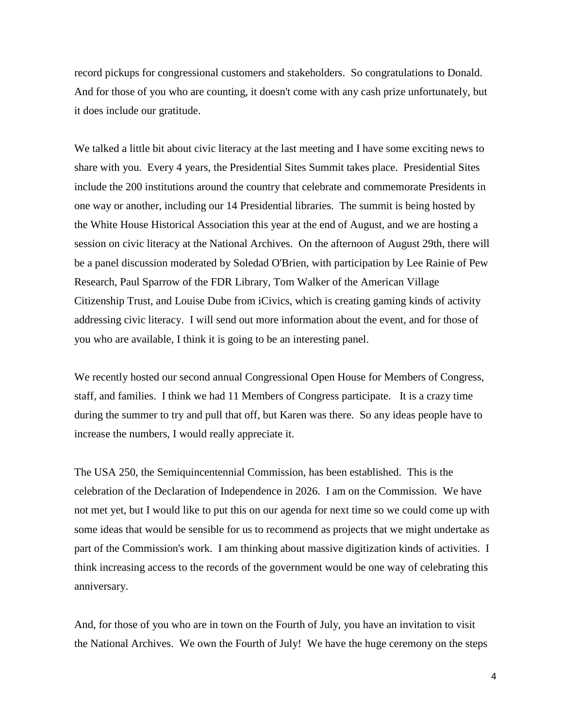record pickups for congressional customers and stakeholders. So congratulations to Donald. And for those of you who are counting, it doesn't come with any cash prize unfortunately, but it does include our gratitude.

We talked a little bit about civic literacy at the last meeting and I have some exciting news to share with you. Every 4 years, the Presidential Sites Summit takes place. Presidential Sites include the 200 institutions around the country that celebrate and commemorate Presidents in one way or another, including our 14 Presidential libraries. The summit is being hosted by the White House Historical Association this year at the end of August, and we are hosting a session on civic literacy at the National Archives. On the afternoon of August 29th, there will be a panel discussion moderated by Soledad O'Brien, with participation by Lee Rainie of Pew Research, Paul Sparrow of the FDR Library, Tom Walker of the American Village Citizenship Trust, and Louise Dube from iCivics, which is creating gaming kinds of activity addressing civic literacy. I will send out more information about the event, and for those of you who are available, I think it is going to be an interesting panel.

We recently hosted our second annual Congressional Open House for Members of Congress, staff, and families. I think we had 11 Members of Congress participate. It is a crazy time during the summer to try and pull that off, but Karen was there. So any ideas people have to increase the numbers, I would really appreciate it.

The USA 250, the Semiquincentennial Commission, has been established. This is the celebration of the Declaration of Independence in 2026. I am on the Commission. We have not met yet, but I would like to put this on our agenda for next time so we could come up with some ideas that would be sensible for us to recommend as projects that we might undertake as part of the Commission's work. I am thinking about massive digitization kinds of activities. I think increasing access to the records of the government would be one way of celebrating this anniversary.

And, for those of you who are in town on the Fourth of July, you have an invitation to visit the National Archives. We own the Fourth of July! We have the huge ceremony on the steps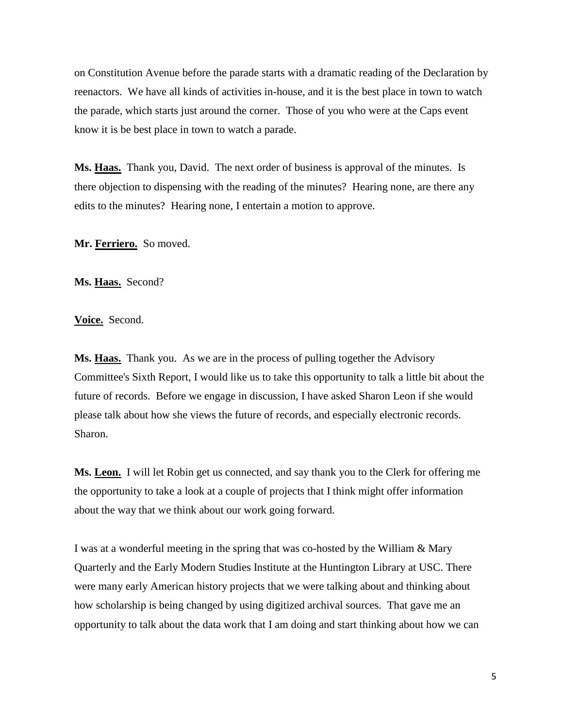on Constitution Avenue before the parade starts with a dramatic reading of the Declaration by reenactors. We have all kinds of activities in-house, and it is the best place in town to watch the parade, which starts just around the corner. Those of you who were at the Caps event know it is be best place in town to watch a parade.

**Ms. Haas.** Thank you, David. The next order of business is approval of the minutes. Is there objection to dispensing with the reading of the minutes? Hearing none, are there any edits to the minutes? Hearing none, I entertain a motion to approve.

**Mr. Ferriero.** So moved.

Ms. Haas. Second?

**Voice.** Second.

**Ms. Haas.** Thank you. As we are in the process of pulling together the Advisory Committee's Sixth Report, I would like us to take this opportunity to talk a little bit about the future of records. Before we engage in discussion, I have asked Sharon Leon if she would please talk about how she views the future of records, and especially electronic records. Sharon.

**Ms. Leon.** I will let Robin get us connected, and say thank you to the Clerk for offering me the opportunity to take a look at a couple of projects that I think might offer information about the way that we think about our work going forward.

I was at a wonderful meeting in the spring that was co-hosted by the William & Mary Quarterly and the Early Modern Studies Institute at the Huntington Library at USC. There were many early American history projects that we were talking about and thinking about how scholarship is being changed by using digitized archival sources. That gave me an opportunity to talk about the data work that I am doing and start thinking about how we can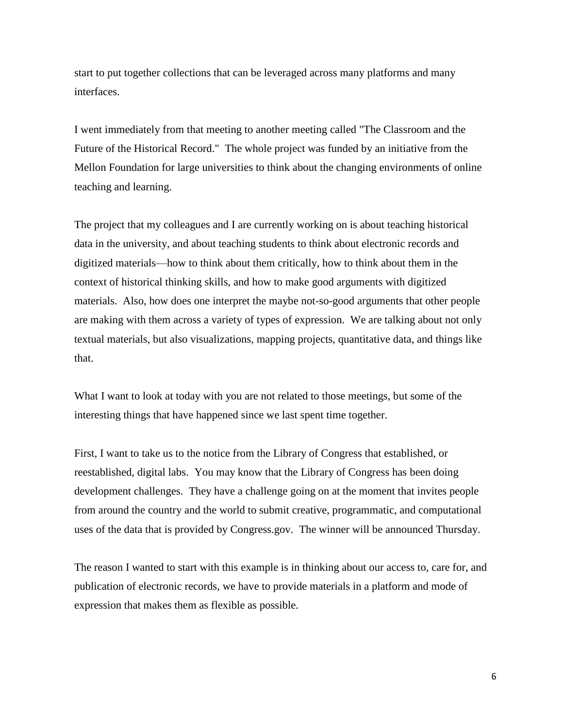start to put together collections that can be leveraged across many platforms and many interfaces.

I went immediately from that meeting to another meeting called "The Classroom and the Future of the Historical Record." The whole project was funded by an initiative from the Mellon Foundation for large universities to think about the changing environments of online teaching and learning.

The project that my colleagues and I are currently working on is about teaching historical data in the university, and about teaching students to think about electronic records and digitized materials—how to think about them critically, how to think about them in the context of historical thinking skills, and how to make good arguments with digitized materials. Also, how does one interpret the maybe not-so-good arguments that other people are making with them across a variety of types of expression. We are talking about not only textual materials, but also visualizations, mapping projects, quantitative data, and things like that.

What I want to look at today with you are not related to those meetings, but some of the interesting things that have happened since we last spent time together.

First, I want to take us to the notice from the Library of Congress that established, or reestablished, digital labs. You may know that the Library of Congress has been doing development challenges. They have a challenge going on at the moment that invites people from around the country and the world to submit creative, programmatic, and computational uses of the data that is provided by Congress.gov. The winner will be announced Thursday.

The reason I wanted to start with this example is in thinking about our access to, care for, and publication of electronic records, we have to provide materials in a platform and mode of expression that makes them as flexible as possible.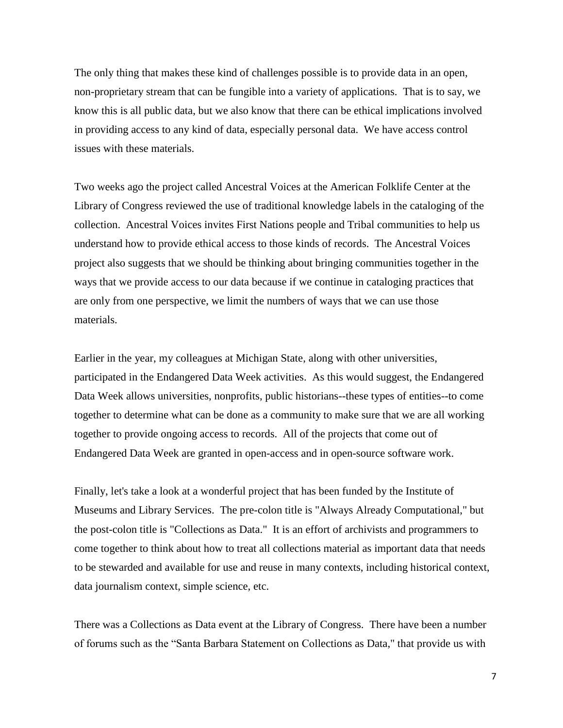The only thing that makes these kind of challenges possible is to provide data in an open, non-proprietary stream that can be fungible into a variety of applications. That is to say, we know this is all public data, but we also know that there can be ethical implications involved in providing access to any kind of data, especially personal data. We have access control issues with these materials.

Two weeks ago the project called Ancestral Voices at the American Folklife Center at the Library of Congress reviewed the use of traditional knowledge labels in the cataloging of the collection. Ancestral Voices invites First Nations people and Tribal communities to help us understand how to provide ethical access to those kinds of records. The Ancestral Voices project also suggests that we should be thinking about bringing communities together in the ways that we provide access to our data because if we continue in cataloging practices that are only from one perspective, we limit the numbers of ways that we can use those materials.

Earlier in the year, my colleagues at Michigan State, along with other universities, participated in the Endangered Data Week activities. As this would suggest, the Endangered Data Week allows universities, nonprofits, public historians--these types of entities--to come together to determine what can be done as a community to make sure that we are all working together to provide ongoing access to records. All of the projects that come out of Endangered Data Week are granted in open-access and in open-source software work.

Finally, let's take a look at a wonderful project that has been funded by the Institute of Museums and Library Services. The pre-colon title is "Always Already Computational," but the post-colon title is "Collections as Data." It is an effort of archivists and programmers to come together to think about how to treat all collections material as important data that needs to be stewarded and available for use and reuse in many contexts, including historical context, data journalism context, simple science, etc.

There was a Collections as Data event at the Library of Congress. There have been a number of forums such as the "Santa Barbara Statement on Collections as Data," that provide us with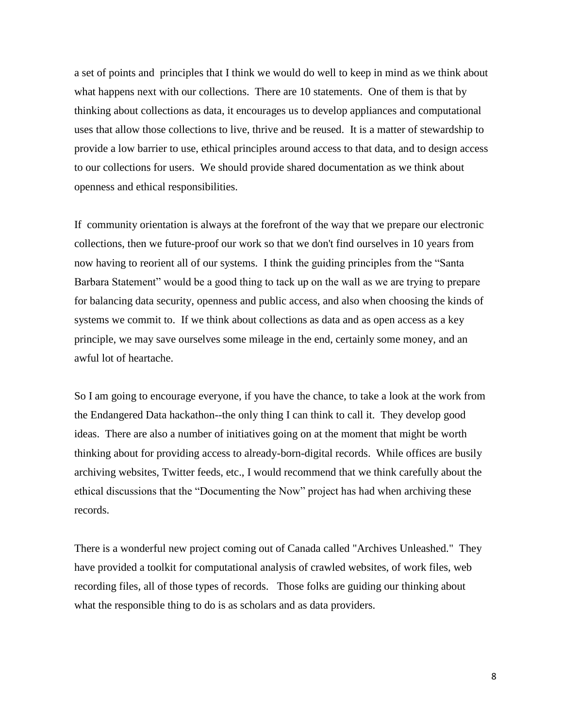a set of points and principles that I think we would do well to keep in mind as we think about what happens next with our collections. There are 10 statements. One of them is that by thinking about collections as data, it encourages us to develop appliances and computational uses that allow those collections to live, thrive and be reused. It is a matter of stewardship to provide a low barrier to use, ethical principles around access to that data, and to design access to our collections for users. We should provide shared documentation as we think about openness and ethical responsibilities.

If community orientation is always at the forefront of the way that we prepare our electronic collections, then we future-proof our work so that we don't find ourselves in 10 years from now having to reorient all of our systems. I think the guiding principles from the "Santa Barbara Statement" would be a good thing to tack up on the wall as we are trying to prepare for balancing data security, openness and public access, and also when choosing the kinds of systems we commit to. If we think about collections as data and as open access as a key principle, we may save ourselves some mileage in the end, certainly some money, and an awful lot of heartache.

So I am going to encourage everyone, if you have the chance, to take a look at the work from the Endangered Data hackathon--the only thing I can think to call it. They develop good ideas. There are also a number of initiatives going on at the moment that might be worth thinking about for providing access to already-born-digital records. While offices are busily archiving websites, Twitter feeds, etc., I would recommend that we think carefully about the ethical discussions that the "Documenting the Now" project has had when archiving these records.

There is a wonderful new project coming out of Canada called "Archives Unleashed." They have provided a toolkit for computational analysis of crawled websites, of work files, web recording files, all of those types of records. Those folks are guiding our thinking about what the responsible thing to do is as scholars and as data providers.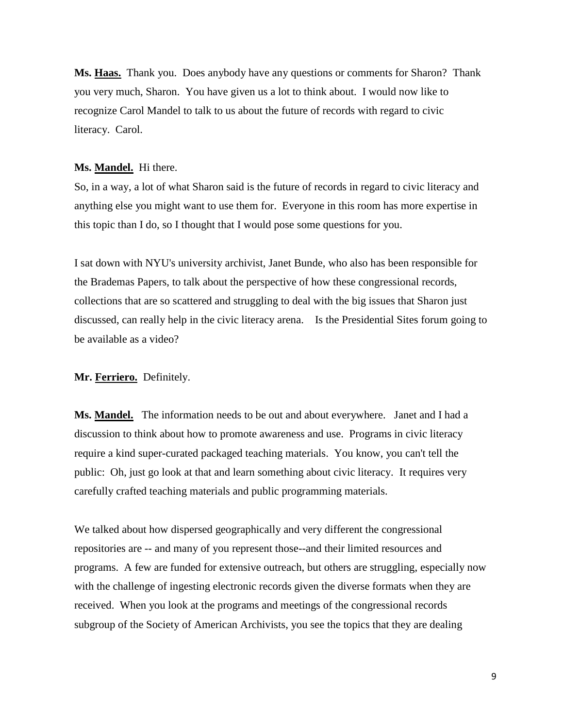**Ms. Haas.** Thank you. Does anybody have any questions or comments for Sharon? Thank you very much, Sharon. You have given us a lot to think about. I would now like to recognize Carol Mandel to talk to us about the future of records with regard to civic literacy. Carol.

#### **Ms. Mandel.** Hi there.

So, in a way, a lot of what Sharon said is the future of records in regard to civic literacy and anything else you might want to use them for. Everyone in this room has more expertise in this topic than I do, so I thought that I would pose some questions for you.

I sat down with NYU's university archivist, Janet Bunde, who also has been responsible for the Brademas Papers, to talk about the perspective of how these congressional records, collections that are so scattered and struggling to deal with the big issues that Sharon just discussed, can really help in the civic literacy arena. Is the Presidential Sites forum going to be available as a video?

### **Mr. Ferriero.** Definitely.

**Ms. Mandel.** The information needs to be out and about everywhere. Janet and I had a discussion to think about how to promote awareness and use. Programs in civic literacy require a kind super-curated packaged teaching materials. You know, you can't tell the public: Oh, just go look at that and learn something about civic literacy. It requires very carefully crafted teaching materials and public programming materials.

We talked about how dispersed geographically and very different the congressional repositories are -- and many of you represent those--and their limited resources and programs. A few are funded for extensive outreach, but others are struggling, especially now with the challenge of ingesting electronic records given the diverse formats when they are received. When you look at the programs and meetings of the congressional records subgroup of the Society of American Archivists, you see the topics that they are dealing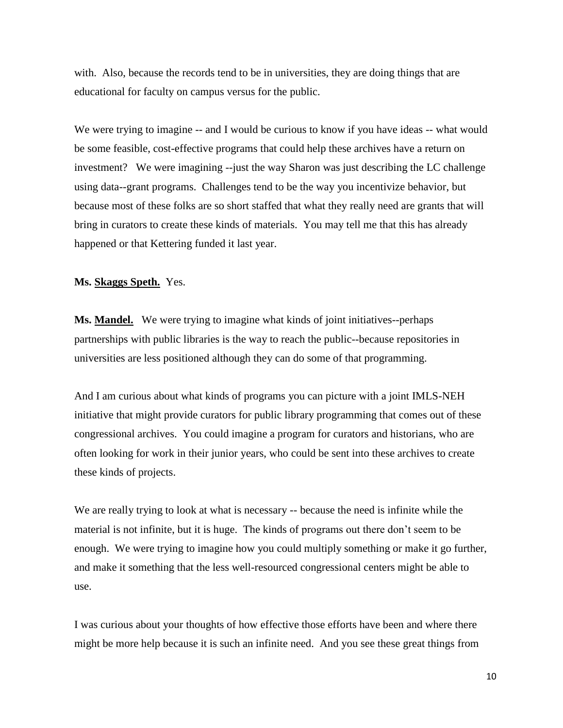with. Also, because the records tend to be in universities, they are doing things that are educational for faculty on campus versus for the public.

We were trying to imagine -- and I would be curious to know if you have ideas -- what would be some feasible, cost-effective programs that could help these archives have a return on investment? We were imagining --just the way Sharon was just describing the LC challenge using data--grant programs. Challenges tend to be the way you incentivize behavior, but because most of these folks are so short staffed that what they really need are grants that will bring in curators to create these kinds of materials. You may tell me that this has already happened or that Kettering funded it last year.

#### **Ms. Skaggs Speth.** Yes.

Ms. Mandel. We were trying to imagine what kinds of joint initiatives--perhaps partnerships with public libraries is the way to reach the public--because repositories in universities are less positioned although they can do some of that programming.

And I am curious about what kinds of programs you can picture with a joint IMLS-NEH initiative that might provide curators for public library programming that comes out of these congressional archives. You could imagine a program for curators and historians, who are often looking for work in their junior years, who could be sent into these archives to create these kinds of projects.

We are really trying to look at what is necessary -- because the need is infinite while the material is not infinite, but it is huge. The kinds of programs out there don't seem to be enough. We were trying to imagine how you could multiply something or make it go further, and make it something that the less well-resourced congressional centers might be able to use.

I was curious about your thoughts of how effective those efforts have been and where there might be more help because it is such an infinite need. And you see these great things from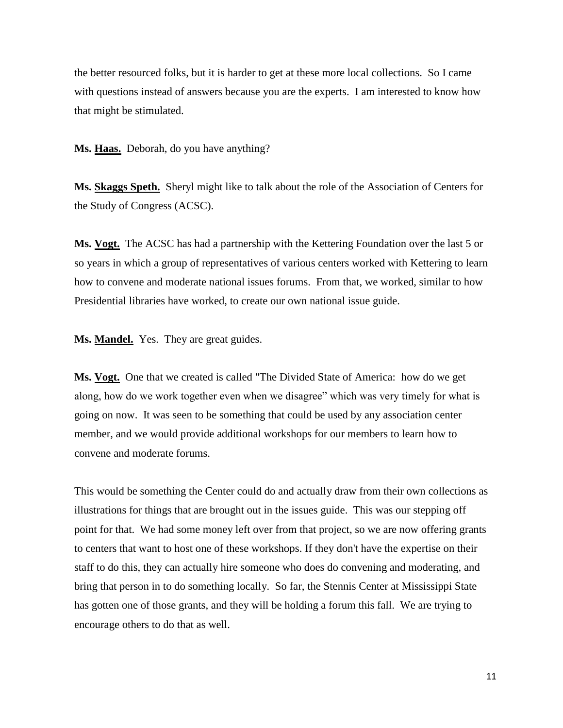the better resourced folks, but it is harder to get at these more local collections. So I came with questions instead of answers because you are the experts. I am interested to know how that might be stimulated.

**Ms. Haas.** Deborah, do you have anything?

**Ms. Skaggs Speth.** Sheryl might like to talk about the role of the Association of Centers for the Study of Congress (ACSC).

**Ms. Vogt.** The ACSC has had a partnership with the Kettering Foundation over the last 5 or so years in which a group of representatives of various centers worked with Kettering to learn how to convene and moderate national issues forums. From that, we worked, similar to how Presidential libraries have worked, to create our own national issue guide.

Ms. **Mandel.** Yes. They are great guides.

**Ms. Vogt.** One that we created is called "The Divided State of America: how do we get along, how do we work together even when we disagree" which was very timely for what is going on now. It was seen to be something that could be used by any association center member, and we would provide additional workshops for our members to learn how to convene and moderate forums.

This would be something the Center could do and actually draw from their own collections as illustrations for things that are brought out in the issues guide. This was our stepping off point for that. We had some money left over from that project, so we are now offering grants to centers that want to host one of these workshops. If they don't have the expertise on their staff to do this, they can actually hire someone who does do convening and moderating, and bring that person in to do something locally. So far, the Stennis Center at Mississippi State has gotten one of those grants, and they will be holding a forum this fall. We are trying to encourage others to do that as well.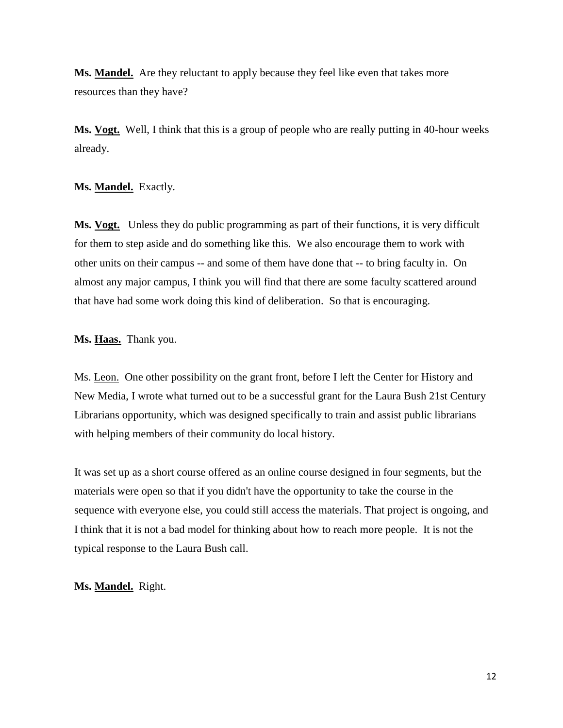**Ms. Mandel.** Are they reluctant to apply because they feel like even that takes more resources than they have?

**Ms. Vogt.** Well, I think that this is a group of people who are really putting in 40-hour weeks already.

## **Ms. Mandel.** Exactly.

**Ms. Vogt.** Unless they do public programming as part of their functions, it is very difficult for them to step aside and do something like this. We also encourage them to work with other units on their campus -- and some of them have done that -- to bring faculty in. On almost any major campus, I think you will find that there are some faculty scattered around that have had some work doing this kind of deliberation. So that is encouraging.

# **Ms. Haas.** Thank you.

Ms. Leon. One other possibility on the grant front, before I left the Center for History and New Media, I wrote what turned out to be a successful grant for the Laura Bush 21st Century Librarians opportunity, which was designed specifically to train and assist public librarians with helping members of their community do local history.

It was set up as a short course offered as an online course designed in four segments, but the materials were open so that if you didn't have the opportunity to take the course in the sequence with everyone else, you could still access the materials. That project is ongoing, and I think that it is not a bad model for thinking about how to reach more people. It is not the typical response to the Laura Bush call.

## **Ms. Mandel.** Right.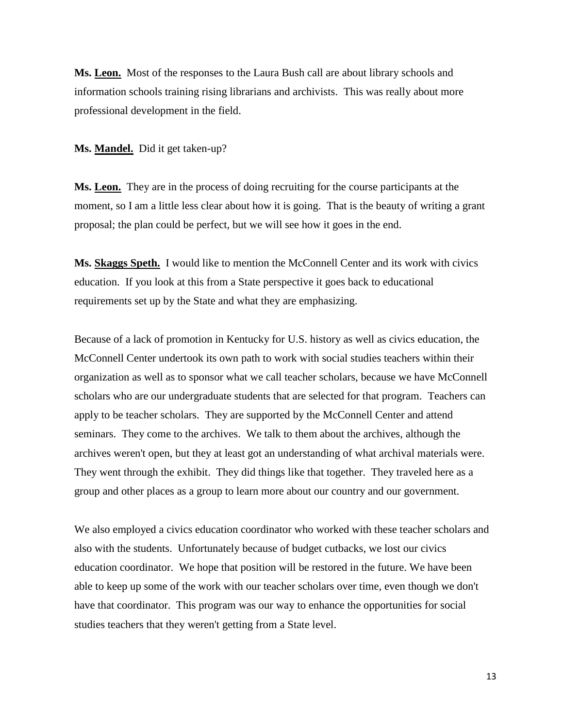**Ms. Leon.** Most of the responses to the Laura Bush call are about library schools and information schools training rising librarians and archivists. This was really about more professional development in the field.

**Ms. Mandel.** Did it get taken-up?

**Ms. Leon.** They are in the process of doing recruiting for the course participants at the moment, so I am a little less clear about how it is going. That is the beauty of writing a grant proposal; the plan could be perfect, but we will see how it goes in the end.

**Ms. Skaggs Speth.** I would like to mention the McConnell Center and its work with civics education. If you look at this from a State perspective it goes back to educational requirements set up by the State and what they are emphasizing.

Because of a lack of promotion in Kentucky for U.S. history as well as civics education, the McConnell Center undertook its own path to work with social studies teachers within their organization as well as to sponsor what we call teacher scholars, because we have McConnell scholars who are our undergraduate students that are selected for that program. Teachers can apply to be teacher scholars. They are supported by the McConnell Center and attend seminars. They come to the archives. We talk to them about the archives, although the archives weren't open, but they at least got an understanding of what archival materials were. They went through the exhibit. They did things like that together. They traveled here as a group and other places as a group to learn more about our country and our government.

We also employed a civics education coordinator who worked with these teacher scholars and also with the students. Unfortunately because of budget cutbacks, we lost our civics education coordinator. We hope that position will be restored in the future. We have been able to keep up some of the work with our teacher scholars over time, even though we don't have that coordinator. This program was our way to enhance the opportunities for social studies teachers that they weren't getting from a State level.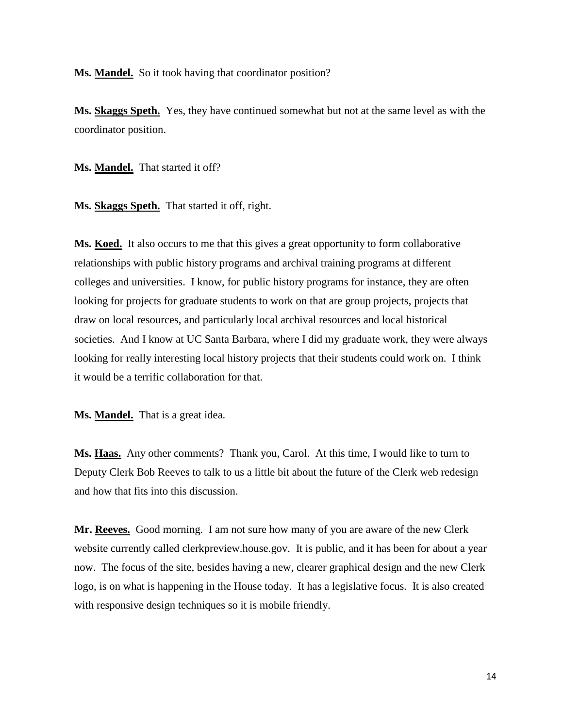**Ms. Mandel.** So it took having that coordinator position?

**Ms. Skaggs Speth.** Yes, they have continued somewhat but not at the same level as with the coordinator position.

**Ms. Mandel.** That started it off?

**Ms. Skaggs Speth.** That started it off, right.

**Ms. Koed.** It also occurs to me that this gives a great opportunity to form collaborative relationships with public history programs and archival training programs at different colleges and universities. I know, for public history programs for instance, they are often looking for projects for graduate students to work on that are group projects, projects that draw on local resources, and particularly local archival resources and local historical societies. And I know at UC Santa Barbara, where I did my graduate work, they were always looking for really interesting local history projects that their students could work on. I think it would be a terrific collaboration for that.

**Ms. Mandel.** That is a great idea.

**Ms. Haas.** Any other comments? Thank you, Carol. At this time, I would like to turn to Deputy Clerk Bob Reeves to talk to us a little bit about the future of the Clerk web redesign and how that fits into this discussion.

**Mr. Reeves.** Good morning. I am not sure how many of you are aware of the new Clerk website currently called clerkpreview.house.gov. It is public, and it has been for about a year now. The focus of the site, besides having a new, clearer graphical design and the new Clerk logo, is on what is happening in the House today. It has a legislative focus. It is also created with responsive design techniques so it is mobile friendly.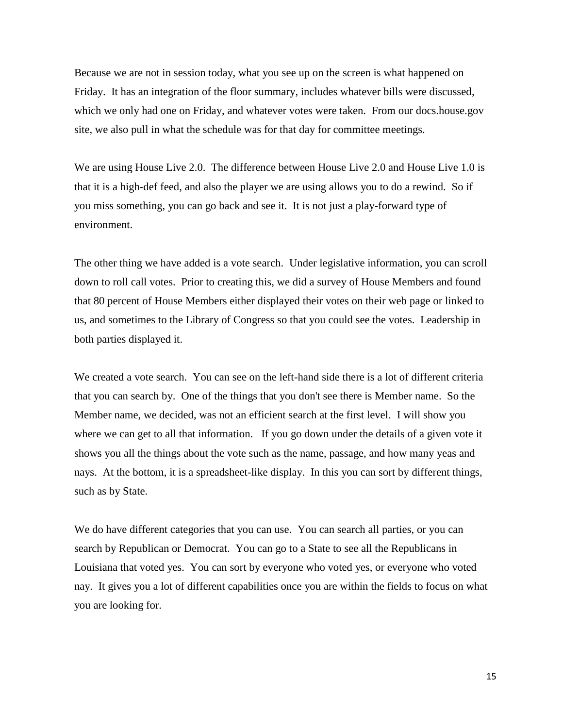Because we are not in session today, what you see up on the screen is what happened on Friday. It has an integration of the floor summary, includes whatever bills were discussed, which we only had one on Friday, and whatever votes were taken. From our docs.house.gov site, we also pull in what the schedule was for that day for committee meetings.

We are using House Live 2.0. The difference between House Live 2.0 and House Live 1.0 is that it is a high-def feed, and also the player we are using allows you to do a rewind. So if you miss something, you can go back and see it. It is not just a play-forward type of environment.

The other thing we have added is a vote search. Under legislative information, you can scroll down to roll call votes. Prior to creating this, we did a survey of House Members and found that 80 percent of House Members either displayed their votes on their web page or linked to us, and sometimes to the Library of Congress so that you could see the votes. Leadership in both parties displayed it.

We created a vote search. You can see on the left-hand side there is a lot of different criteria that you can search by. One of the things that you don't see there is Member name. So the Member name, we decided, was not an efficient search at the first level. I will show you where we can get to all that information. If you go down under the details of a given vote it shows you all the things about the vote such as the name, passage, and how many yeas and nays. At the bottom, it is a spreadsheet-like display. In this you can sort by different things, such as by State.

We do have different categories that you can use. You can search all parties, or you can search by Republican or Democrat. You can go to a State to see all the Republicans in Louisiana that voted yes. You can sort by everyone who voted yes, or everyone who voted nay. It gives you a lot of different capabilities once you are within the fields to focus on what you are looking for.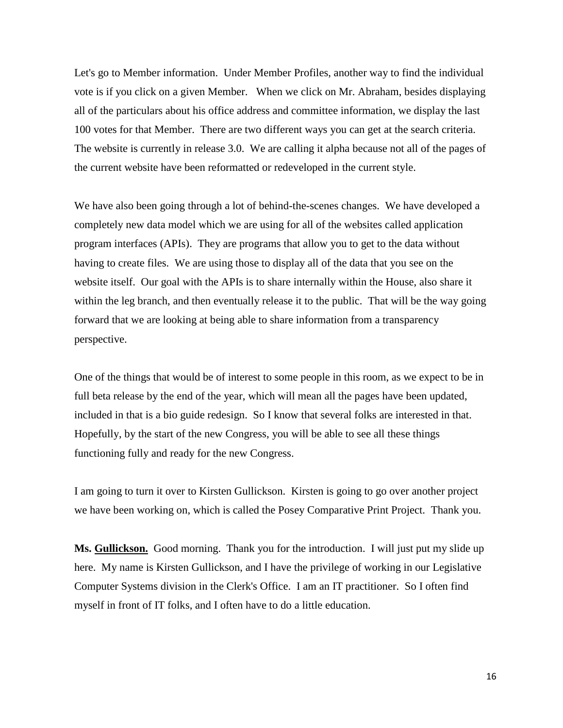Let's go to Member information. Under Member Profiles, another way to find the individual vote is if you click on a given Member. When we click on Mr. Abraham, besides displaying all of the particulars about his office address and committee information, we display the last 100 votes for that Member. There are two different ways you can get at the search criteria. The website is currently in release 3.0. We are calling it alpha because not all of the pages of the current website have been reformatted or redeveloped in the current style.

We have also been going through a lot of behind-the-scenes changes. We have developed a completely new data model which we are using for all of the websites called application program interfaces (APIs). They are programs that allow you to get to the data without having to create files. We are using those to display all of the data that you see on the website itself. Our goal with the APIs is to share internally within the House, also share it within the leg branch, and then eventually release it to the public. That will be the way going forward that we are looking at being able to share information from a transparency perspective.

One of the things that would be of interest to some people in this room, as we expect to be in full beta release by the end of the year, which will mean all the pages have been updated, included in that is a bio guide redesign. So I know that several folks are interested in that. Hopefully, by the start of the new Congress, you will be able to see all these things functioning fully and ready for the new Congress.

I am going to turn it over to Kirsten Gullickson. Kirsten is going to go over another project we have been working on, which is called the Posey Comparative Print Project. Thank you.

**Ms. Gullickson.** Good morning. Thank you for the introduction. I will just put my slide up here. My name is Kirsten Gullickson, and I have the privilege of working in our Legislative Computer Systems division in the Clerk's Office. I am an IT practitioner. So I often find myself in front of IT folks, and I often have to do a little education.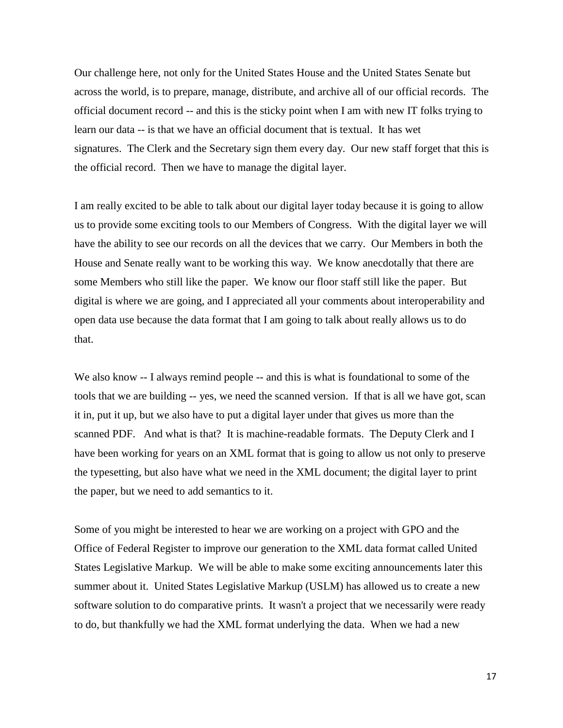Our challenge here, not only for the United States House and the United States Senate but across the world, is to prepare, manage, distribute, and archive all of our official records. The official document record -- and this is the sticky point when I am with new IT folks trying to learn our data -- is that we have an official document that is textual. It has wet signatures. The Clerk and the Secretary sign them every day. Our new staff forget that this is the official record. Then we have to manage the digital layer.

I am really excited to be able to talk about our digital layer today because it is going to allow us to provide some exciting tools to our Members of Congress. With the digital layer we will have the ability to see our records on all the devices that we carry. Our Members in both the House and Senate really want to be working this way. We know anecdotally that there are some Members who still like the paper. We know our floor staff still like the paper. But digital is where we are going, and I appreciated all your comments about interoperability and open data use because the data format that I am going to talk about really allows us to do that.

We also know -- I always remind people -- and this is what is foundational to some of the tools that we are building -- yes, we need the scanned version. If that is all we have got, scan it in, put it up, but we also have to put a digital layer under that gives us more than the scanned PDF. And what is that? It is machine-readable formats. The Deputy Clerk and I have been working for years on an XML format that is going to allow us not only to preserve the typesetting, but also have what we need in the XML document; the digital layer to print the paper, but we need to add semantics to it.

Some of you might be interested to hear we are working on a project with GPO and the Office of Federal Register to improve our generation to the XML data format called United States Legislative Markup. We will be able to make some exciting announcements later this summer about it. United States Legislative Markup (USLM) has allowed us to create a new software solution to do comparative prints. It wasn't a project that we necessarily were ready to do, but thankfully we had the XML format underlying the data. When we had a new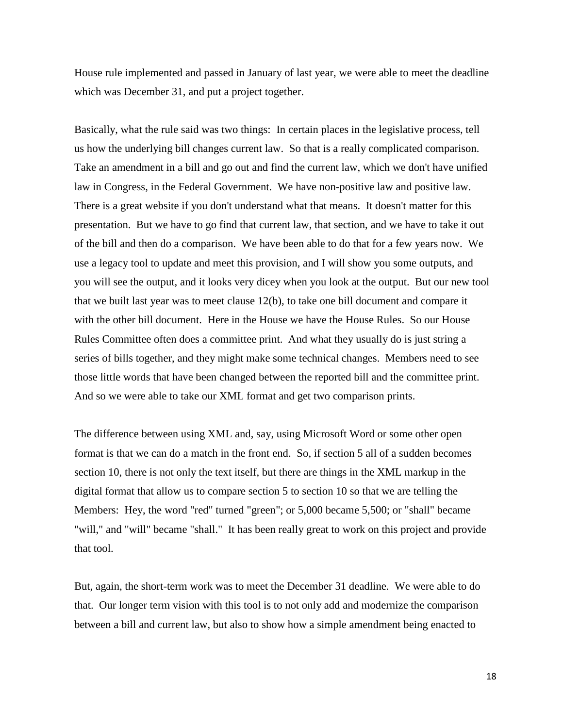House rule implemented and passed in January of last year, we were able to meet the deadline which was December 31, and put a project together.

Basically, what the rule said was two things: In certain places in the legislative process, tell us how the underlying bill changes current law. So that is a really complicated comparison. Take an amendment in a bill and go out and find the current law, which we don't have unified law in Congress, in the Federal Government. We have non-positive law and positive law. There is a great website if you don't understand what that means. It doesn't matter for this presentation. But we have to go find that current law, that section, and we have to take it out of the bill and then do a comparison. We have been able to do that for a few years now. We use a legacy tool to update and meet this provision, and I will show you some outputs, and you will see the output, and it looks very dicey when you look at the output. But our new tool that we built last year was to meet clause 12(b), to take one bill document and compare it with the other bill document. Here in the House we have the House Rules. So our House Rules Committee often does a committee print. And what they usually do is just string a series of bills together, and they might make some technical changes. Members need to see those little words that have been changed between the reported bill and the committee print. And so we were able to take our XML format and get two comparison prints.

The difference between using XML and, say, using Microsoft Word or some other open format is that we can do a match in the front end. So, if section 5 all of a sudden becomes section 10, there is not only the text itself, but there are things in the XML markup in the digital format that allow us to compare section 5 to section 10 so that we are telling the Members: Hey, the word "red" turned "green"; or 5,000 became 5,500; or "shall" became "will," and "will" became "shall." It has been really great to work on this project and provide that tool.

But, again, the short-term work was to meet the December 31 deadline. We were able to do that. Our longer term vision with this tool is to not only add and modernize the comparison between a bill and current law, but also to show how a simple amendment being enacted to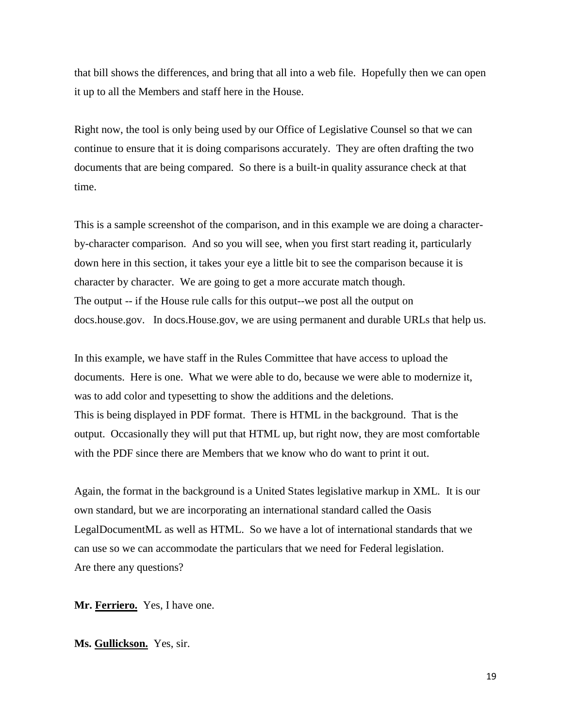that bill shows the differences, and bring that all into a web file. Hopefully then we can open it up to all the Members and staff here in the House.

Right now, the tool is only being used by our Office of Legislative Counsel so that we can continue to ensure that it is doing comparisons accurately. They are often drafting the two documents that are being compared. So there is a built-in quality assurance check at that time.

This is a sample screenshot of the comparison, and in this example we are doing a characterby-character comparison. And so you will see, when you first start reading it, particularly down here in this section, it takes your eye a little bit to see the comparison because it is character by character. We are going to get a more accurate match though. The output -- if the House rule calls for this output--we post all the output on docs.house.gov. In docs.House.gov, we are using permanent and durable URLs that help us.

In this example, we have staff in the Rules Committee that have access to upload the documents. Here is one. What we were able to do, because we were able to modernize it, was to add color and typesetting to show the additions and the deletions. This is being displayed in PDF format. There is HTML in the background. That is the output. Occasionally they will put that HTML up, but right now, they are most comfortable with the PDF since there are Members that we know who do want to print it out.

Again, the format in the background is a United States legislative markup in XML. It is our own standard, but we are incorporating an international standard called the Oasis LegalDocumentML as well as HTML. So we have a lot of international standards that we can use so we can accommodate the particulars that we need for Federal legislation. Are there any questions?

**Mr. Ferriero.** Yes, I have one.

**Ms. Gullickson.** Yes, sir.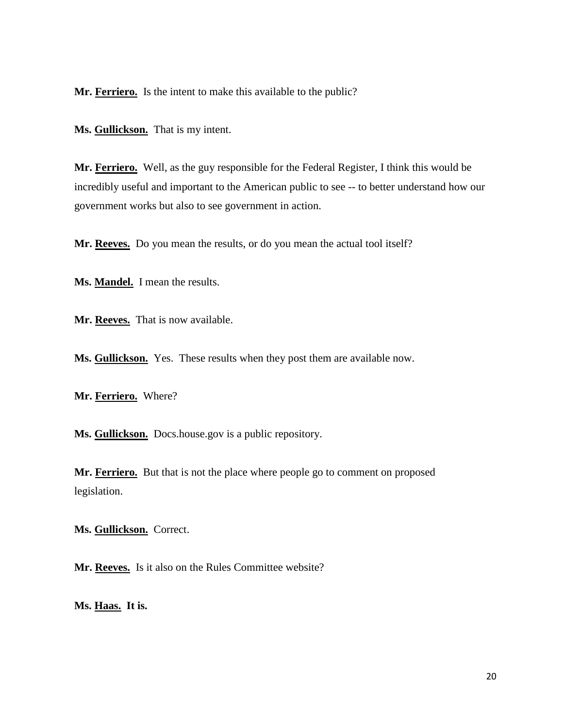**Mr. Ferriero.** Is the intent to make this available to the public?

**Ms. Gullickson.** That is my intent.

**Mr. Ferriero.** Well, as the guy responsible for the Federal Register, I think this would be incredibly useful and important to the American public to see -- to better understand how our government works but also to see government in action.

**Mr. Reeves.** Do you mean the results, or do you mean the actual tool itself?

**Ms. Mandel.** I mean the results.

**Mr. Reeves.** That is now available.

**Ms. Gullickson.** Yes. These results when they post them are available now.

**Mr. Ferriero.** Where?

**Ms. Gullickson.** Docs.house.gov is a public repository.

**Mr. Ferriero.** But that is not the place where people go to comment on proposed legislation.

**Ms. Gullickson.** Correct.

Mr. Reeves. Is it also on the Rules Committee website?

**Ms. Haas. It is.**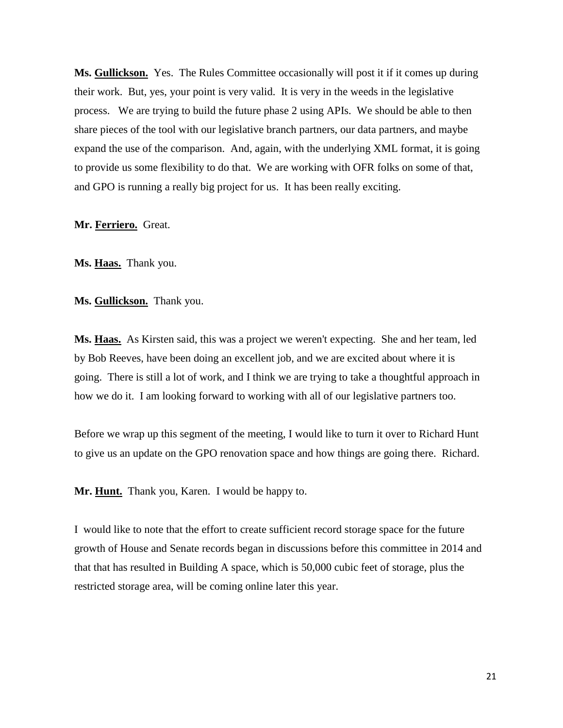**Ms. Gullickson.** Yes. The Rules Committee occasionally will post it if it comes up during their work. But, yes, your point is very valid. It is very in the weeds in the legislative process. We are trying to build the future phase 2 using APIs. We should be able to then share pieces of the tool with our legislative branch partners, our data partners, and maybe expand the use of the comparison. And, again, with the underlying XML format, it is going to provide us some flexibility to do that. We are working with OFR folks on some of that, and GPO is running a really big project for us. It has been really exciting.

## **Mr. Ferriero.** Great.

**Ms. Haas.** Thank you.

**Ms. Gullickson.** Thank you.

**Ms. Haas.** As Kirsten said, this was a project we weren't expecting. She and her team, led by Bob Reeves, have been doing an excellent job, and we are excited about where it is going. There is still a lot of work, and I think we are trying to take a thoughtful approach in how we do it. I am looking forward to working with all of our legislative partners too.

Before we wrap up this segment of the meeting, I would like to turn it over to Richard Hunt to give us an update on the GPO renovation space and how things are going there. Richard.

**Mr. Hunt.** Thank you, Karen. I would be happy to.

I would like to note that the effort to create sufficient record storage space for the future growth of House and Senate records began in discussions before this committee in 2014 and that that has resulted in Building A space, which is 50,000 cubic feet of storage, plus the restricted storage area, will be coming online later this year.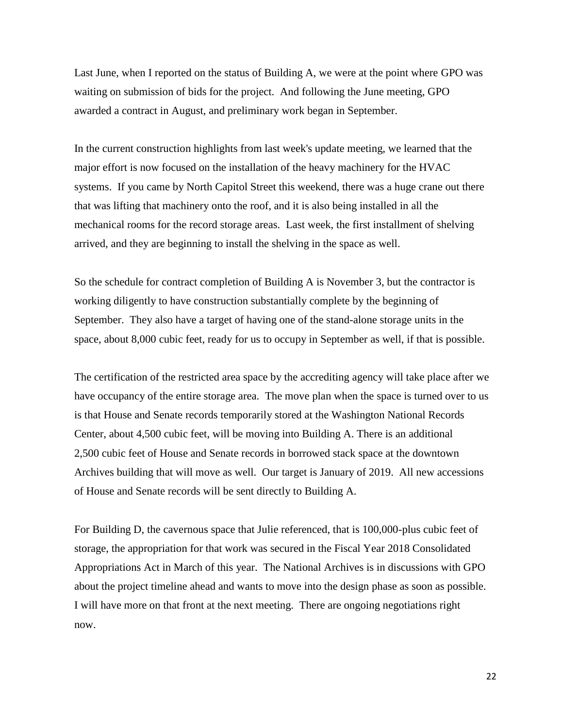Last June, when I reported on the status of Building A, we were at the point where GPO was waiting on submission of bids for the project. And following the June meeting, GPO awarded a contract in August, and preliminary work began in September.

In the current construction highlights from last week's update meeting, we learned that the major effort is now focused on the installation of the heavy machinery for the HVAC systems. If you came by North Capitol Street this weekend, there was a huge crane out there that was lifting that machinery onto the roof, and it is also being installed in all the mechanical rooms for the record storage areas. Last week, the first installment of shelving arrived, and they are beginning to install the shelving in the space as well.

So the schedule for contract completion of Building A is November 3, but the contractor is working diligently to have construction substantially complete by the beginning of September. They also have a target of having one of the stand-alone storage units in the space, about 8,000 cubic feet, ready for us to occupy in September as well, if that is possible.

The certification of the restricted area space by the accrediting agency will take place after we have occupancy of the entire storage area. The move plan when the space is turned over to us is that House and Senate records temporarily stored at the Washington National Records Center, about 4,500 cubic feet, will be moving into Building A. There is an additional 2,500 cubic feet of House and Senate records in borrowed stack space at the downtown Archives building that will move as well. Our target is January of 2019. All new accessions of House and Senate records will be sent directly to Building A.

For Building D, the cavernous space that Julie referenced, that is 100,000-plus cubic feet of storage, the appropriation for that work was secured in the Fiscal Year 2018 Consolidated Appropriations Act in March of this year. The National Archives is in discussions with GPO about the project timeline ahead and wants to move into the design phase as soon as possible. I will have more on that front at the next meeting. There are ongoing negotiations right now.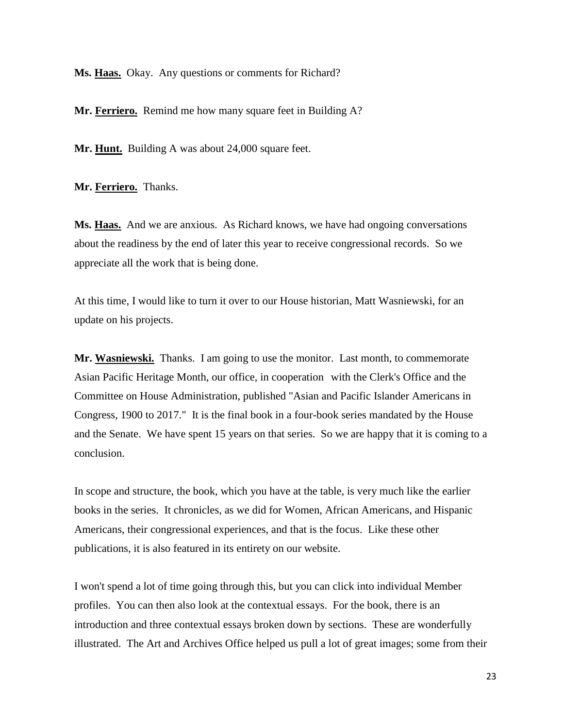**Ms. Haas.** Okay. Any questions or comments for Richard?

Mr. Ferriero. Remind me how many square feet in Building A?

Mr. **Hunt.** Building A was about 24,000 square feet.

**Mr. Ferriero.** Thanks.

**Ms. Haas.** And we are anxious. As Richard knows, we have had ongoing conversations about the readiness by the end of later this year to receive congressional records. So we appreciate all the work that is being done.

At this time, I would like to turn it over to our House historian, Matt Wasniewski, for an update on his projects.

Mr. Wasniewski. Thanks. I am going to use the monitor. Last month, to commemorate Asian Pacific Heritage Month, our office, in cooperation with the Clerk's Office and the Committee on House Administration, published "Asian and Pacific Islander Americans in Congress, 1900 to 2017." It is the final book in a four-book series mandated by the House and the Senate. We have spent 15 years on that series. So we are happy that it is coming to a conclusion.

In scope and structure, the book, which you have at the table, is very much like the earlier books in the series. It chronicles, as we did for Women, African Americans, and Hispanic Americans, their congressional experiences, and that is the focus. Like these other publications, it is also featured in its entirety on our website.

I won't spend a lot of time going through this, but you can click into individual Member profiles. You can then also look at the contextual essays. For the book, there is an introduction and three contextual essays broken down by sections. These are wonderfully illustrated. The Art and Archives Office helped us pull a lot of great images; some from their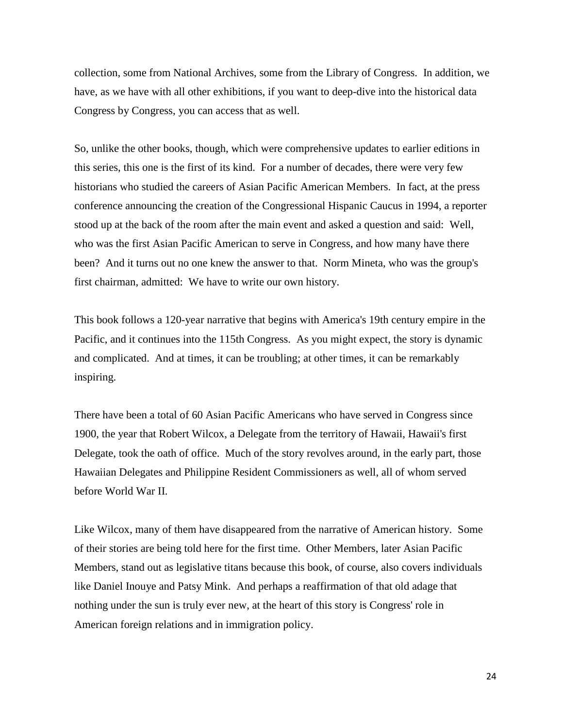collection, some from National Archives, some from the Library of Congress. In addition, we have, as we have with all other exhibitions, if you want to deep-dive into the historical data Congress by Congress, you can access that as well.

So, unlike the other books, though, which were comprehensive updates to earlier editions in this series, this one is the first of its kind. For a number of decades, there were very few historians who studied the careers of Asian Pacific American Members. In fact, at the press conference announcing the creation of the Congressional Hispanic Caucus in 1994, a reporter stood up at the back of the room after the main event and asked a question and said: Well, who was the first Asian Pacific American to serve in Congress, and how many have there been? And it turns out no one knew the answer to that. Norm Mineta, who was the group's first chairman, admitted: We have to write our own history.

This book follows a 120-year narrative that begins with America's 19th century empire in the Pacific, and it continues into the 115th Congress. As you might expect, the story is dynamic and complicated. And at times, it can be troubling; at other times, it can be remarkably inspiring.

There have been a total of 60 Asian Pacific Americans who have served in Congress since 1900, the year that Robert Wilcox, a Delegate from the territory of Hawaii, Hawaii's first Delegate, took the oath of office. Much of the story revolves around, in the early part, those Hawaiian Delegates and Philippine Resident Commissioners as well, all of whom served before World War II.

Like Wilcox, many of them have disappeared from the narrative of American history. Some of their stories are being told here for the first time. Other Members, later Asian Pacific Members, stand out as legislative titans because this book, of course, also covers individuals like Daniel Inouye and Patsy Mink. And perhaps a reaffirmation of that old adage that nothing under the sun is truly ever new, at the heart of this story is Congress' role in American foreign relations and in immigration policy.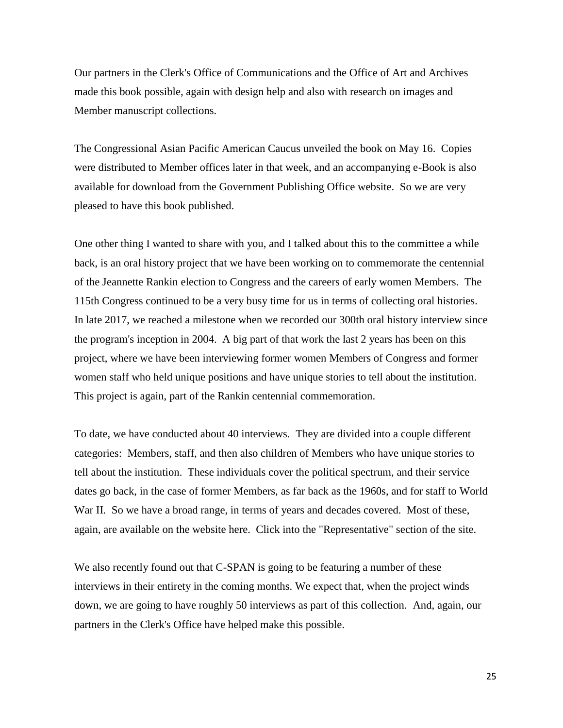Our partners in the Clerk's Office of Communications and the Office of Art and Archives made this book possible, again with design help and also with research on images and Member manuscript collections.

The Congressional Asian Pacific American Caucus unveiled the book on May 16. Copies were distributed to Member offices later in that week, and an accompanying e-Book is also available for download from the Government Publishing Office website. So we are very pleased to have this book published.

One other thing I wanted to share with you, and I talked about this to the committee a while back, is an oral history project that we have been working on to commemorate the centennial of the Jeannette Rankin election to Congress and the careers of early women Members. The 115th Congress continued to be a very busy time for us in terms of collecting oral histories. In late 2017, we reached a milestone when we recorded our 300th oral history interview since the program's inception in 2004. A big part of that work the last 2 years has been on this project, where we have been interviewing former women Members of Congress and former women staff who held unique positions and have unique stories to tell about the institution. This project is again, part of the Rankin centennial commemoration.

To date, we have conducted about 40 interviews. They are divided into a couple different categories: Members, staff, and then also children of Members who have unique stories to tell about the institution. These individuals cover the political spectrum, and their service dates go back, in the case of former Members, as far back as the 1960s, and for staff to World War II. So we have a broad range, in terms of years and decades covered. Most of these, again, are available on the website here. Click into the "Representative" section of the site.

We also recently found out that C-SPAN is going to be featuring a number of these interviews in their entirety in the coming months. We expect that, when the project winds down, we are going to have roughly 50 interviews as part of this collection. And, again, our partners in the Clerk's Office have helped make this possible.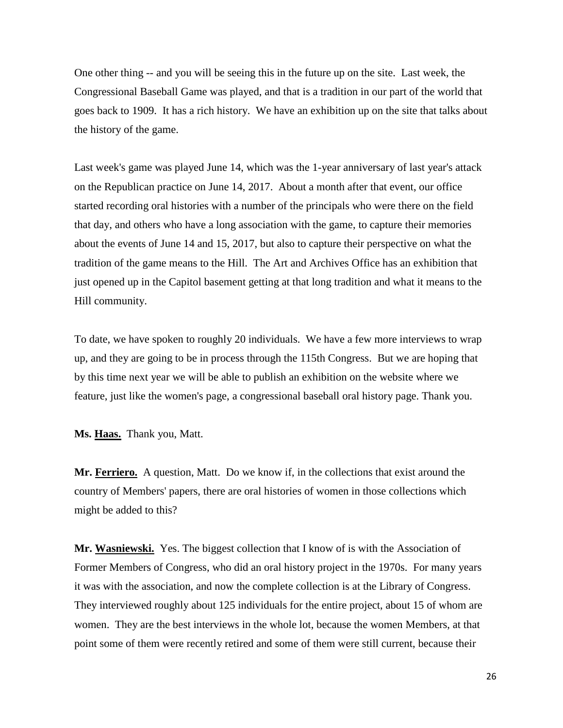One other thing -- and you will be seeing this in the future up on the site. Last week, the Congressional Baseball Game was played, and that is a tradition in our part of the world that goes back to 1909. It has a rich history. We have an exhibition up on the site that talks about the history of the game.

Last week's game was played June 14, which was the 1-year anniversary of last year's attack on the Republican practice on June 14, 2017. About a month after that event, our office started recording oral histories with a number of the principals who were there on the field that day, and others who have a long association with the game, to capture their memories about the events of June 14 and 15, 2017, but also to capture their perspective on what the tradition of the game means to the Hill. The Art and Archives Office has an exhibition that just opened up in the Capitol basement getting at that long tradition and what it means to the Hill community.

To date, we have spoken to roughly 20 individuals. We have a few more interviews to wrap up, and they are going to be in process through the 115th Congress. But we are hoping that by this time next year we will be able to publish an exhibition on the website where we feature, just like the women's page, a congressional baseball oral history page. Thank you.

**Ms. Haas.** Thank you, Matt.

**Mr. Ferriero.** A question, Matt. Do we know if, in the collections that exist around the country of Members' papers, there are oral histories of women in those collections which might be added to this?

Mr. Wasniewski. Yes. The biggest collection that I know of is with the Association of Former Members of Congress, who did an oral history project in the 1970s. For many years it was with the association, and now the complete collection is at the Library of Congress. They interviewed roughly about 125 individuals for the entire project, about 15 of whom are women. They are the best interviews in the whole lot, because the women Members, at that point some of them were recently retired and some of them were still current, because their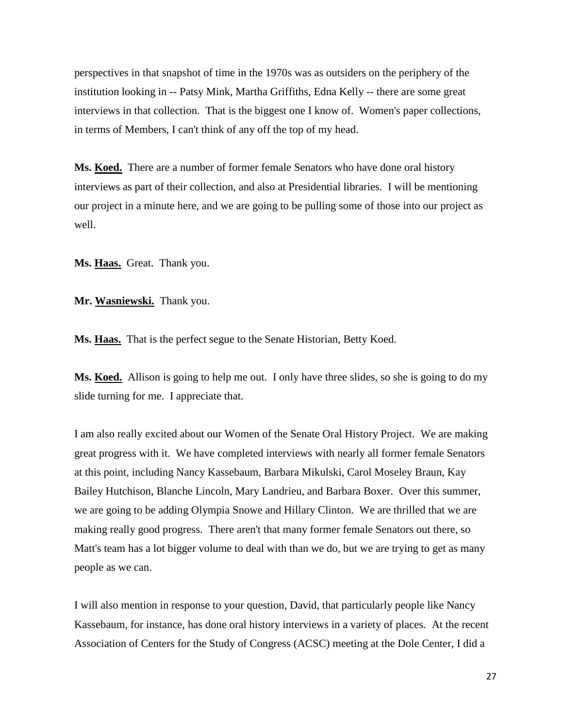perspectives in that snapshot of time in the 1970s was as outsiders on the periphery of the institution looking in -- Patsy Mink, Martha Griffiths, Edna Kelly -- there are some great interviews in that collection. That is the biggest one I know of. Women's paper collections, in terms of Members, I can't think of any off the top of my head.

**Ms. Koed.** There are a number of former female Senators who have done oral history interviews as part of their collection, and also at Presidential libraries. I will be mentioning our project in a minute here, and we are going to be pulling some of those into our project as well.

**Ms. Haas.** Great. Thank you.

**Mr. Wasniewski.** Thank you.

**Ms. Haas.** That is the perfect segue to the Senate Historian, Betty Koed.

**Ms. Koed.** Allison is going to help me out. I only have three slides, so she is going to do my slide turning for me. I appreciate that.

I am also really excited about our Women of the Senate Oral History Project. We are making great progress with it. We have completed interviews with nearly all former female Senators at this point, including Nancy Kassebaum, Barbara Mikulski, Carol Moseley Braun, Kay Bailey Hutchison, Blanche Lincoln, Mary Landrieu, and Barbara Boxer. Over this summer, we are going to be adding Olympia Snowe and Hillary Clinton. We are thrilled that we are making really good progress. There aren't that many former female Senators out there, so Matt's team has a lot bigger volume to deal with than we do, but we are trying to get as many people as we can.

I will also mention in response to your question, David, that particularly people like Nancy Kassebaum, for instance, has done oral history interviews in a variety of places. At the recent Association of Centers for the Study of Congress (ACSC) meeting at the Dole Center, I did a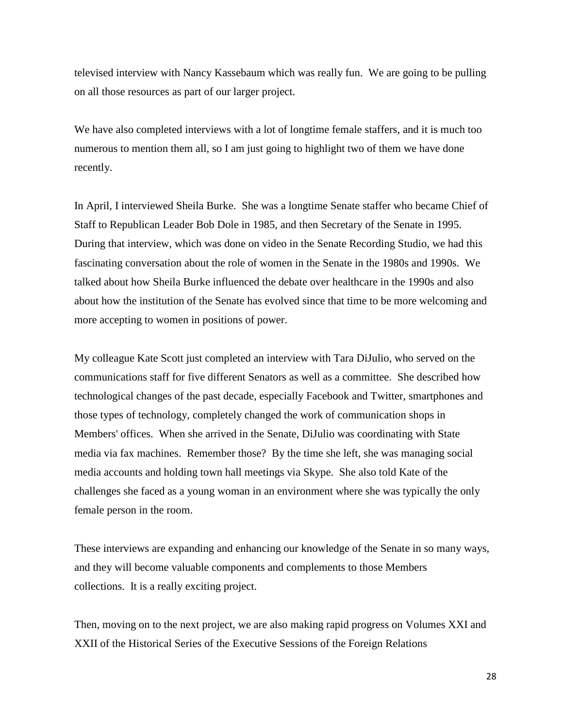televised interview with Nancy Kassebaum which was really fun. We are going to be pulling on all those resources as part of our larger project.

We have also completed interviews with a lot of longtime female staffers, and it is much too numerous to mention them all, so I am just going to highlight two of them we have done recently.

In April, I interviewed Sheila Burke. She was a longtime Senate staffer who became Chief of Staff to Republican Leader Bob Dole in 1985, and then Secretary of the Senate in 1995. During that interview, which was done on video in the Senate Recording Studio, we had this fascinating conversation about the role of women in the Senate in the 1980s and 1990s. We talked about how Sheila Burke influenced the debate over healthcare in the 1990s and also about how the institution of the Senate has evolved since that time to be more welcoming and more accepting to women in positions of power.

My colleague Kate Scott just completed an interview with Tara DiJulio, who served on the communications staff for five different Senators as well as a committee. She described how technological changes of the past decade, especially Facebook and Twitter, smartphones and those types of technology, completely changed the work of communication shops in Members' offices. When she arrived in the Senate, DiJulio was coordinating with State media via fax machines. Remember those? By the time she left, she was managing social media accounts and holding town hall meetings via Skype. She also told Kate of the challenges she faced as a young woman in an environment where she was typically the only female person in the room.

These interviews are expanding and enhancing our knowledge of the Senate in so many ways, and they will become valuable components and complements to those Members collections. It is a really exciting project.

Then, moving on to the next project, we are also making rapid progress on Volumes XXI and XXII of the Historical Series of the Executive Sessions of the Foreign Relations

28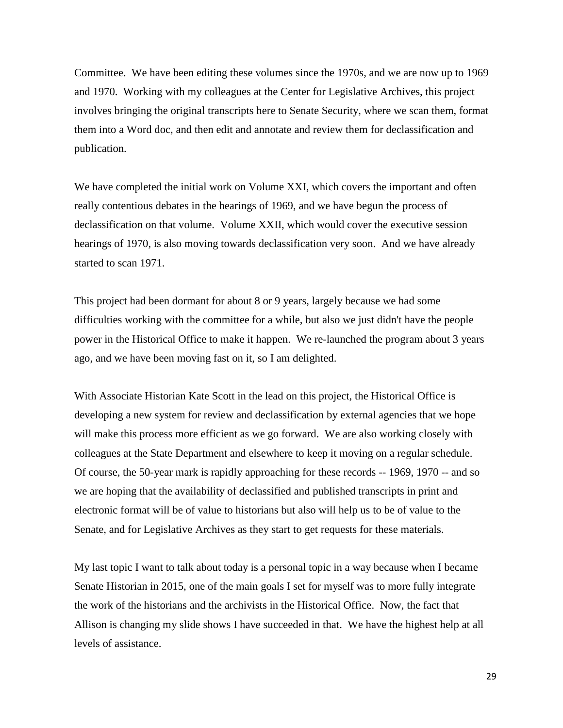Committee. We have been editing these volumes since the 1970s, and we are now up to 1969 and 1970. Working with my colleagues at the Center for Legislative Archives, this project involves bringing the original transcripts here to Senate Security, where we scan them, format them into a Word doc, and then edit and annotate and review them for declassification and publication.

We have completed the initial work on Volume XXI, which covers the important and often really contentious debates in the hearings of 1969, and we have begun the process of declassification on that volume. Volume XXII, which would cover the executive session hearings of 1970, is also moving towards declassification very soon. And we have already started to scan 1971.

This project had been dormant for about 8 or 9 years, largely because we had some difficulties working with the committee for a while, but also we just didn't have the people power in the Historical Office to make it happen. We re-launched the program about 3 years ago, and we have been moving fast on it, so I am delighted.

With Associate Historian Kate Scott in the lead on this project, the Historical Office is developing a new system for review and declassification by external agencies that we hope will make this process more efficient as we go forward. We are also working closely with colleagues at the State Department and elsewhere to keep it moving on a regular schedule. Of course, the 50-year mark is rapidly approaching for these records -- 1969, 1970 -- and so we are hoping that the availability of declassified and published transcripts in print and electronic format will be of value to historians but also will help us to be of value to the Senate, and for Legislative Archives as they start to get requests for these materials.

My last topic I want to talk about today is a personal topic in a way because when I became Senate Historian in 2015, one of the main goals I set for myself was to more fully integrate the work of the historians and the archivists in the Historical Office. Now, the fact that Allison is changing my slide shows I have succeeded in that. We have the highest help at all levels of assistance.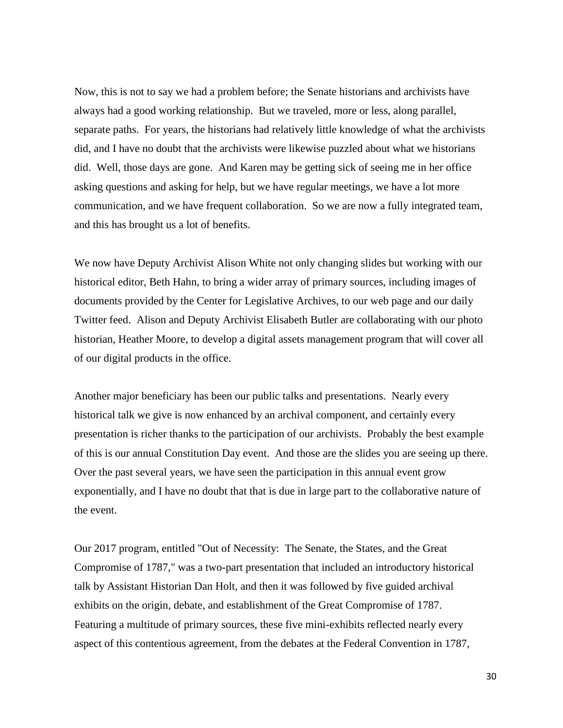Now, this is not to say we had a problem before; the Senate historians and archivists have always had a good working relationship. But we traveled, more or less, along parallel, separate paths. For years, the historians had relatively little knowledge of what the archivists did, and I have no doubt that the archivists were likewise puzzled about what we historians did. Well, those days are gone. And Karen may be getting sick of seeing me in her office asking questions and asking for help, but we have regular meetings, we have a lot more communication, and we have frequent collaboration. So we are now a fully integrated team, and this has brought us a lot of benefits.

We now have Deputy Archivist Alison White not only changing slides but working with our historical editor, Beth Hahn, to bring a wider array of primary sources, including images of documents provided by the Center for Legislative Archives, to our web page and our daily Twitter feed. Alison and Deputy Archivist Elisabeth Butler are collaborating with our photo historian, Heather Moore, to develop a digital assets management program that will cover all of our digital products in the office.

Another major beneficiary has been our public talks and presentations. Nearly every historical talk we give is now enhanced by an archival component, and certainly every presentation is richer thanks to the participation of our archivists. Probably the best example of this is our annual Constitution Day event. And those are the slides you are seeing up there. Over the past several years, we have seen the participation in this annual event grow exponentially, and I have no doubt that that is due in large part to the collaborative nature of the event.

Our 2017 program, entitled "Out of Necessity: The Senate, the States, and the Great Compromise of 1787," was a two-part presentation that included an introductory historical talk by Assistant Historian Dan Holt, and then it was followed by five guided archival exhibits on the origin, debate, and establishment of the Great Compromise of 1787. Featuring a multitude of primary sources, these five mini-exhibits reflected nearly every aspect of this contentious agreement, from the debates at the Federal Convention in 1787,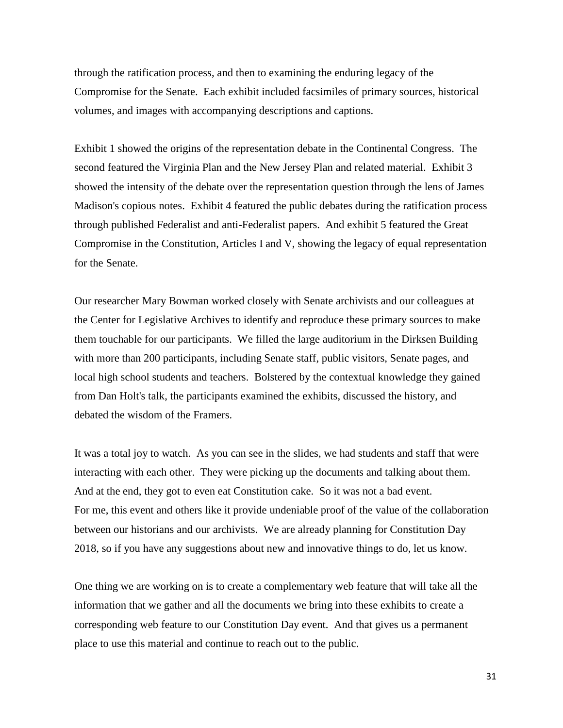through the ratification process, and then to examining the enduring legacy of the Compromise for the Senate. Each exhibit included facsimiles of primary sources, historical volumes, and images with accompanying descriptions and captions.

Exhibit 1 showed the origins of the representation debate in the Continental Congress. The second featured the Virginia Plan and the New Jersey Plan and related material. Exhibit 3 showed the intensity of the debate over the representation question through the lens of James Madison's copious notes. Exhibit 4 featured the public debates during the ratification process through published Federalist and anti-Federalist papers. And exhibit 5 featured the Great Compromise in the Constitution, Articles I and V, showing the legacy of equal representation for the Senate.

Our researcher Mary Bowman worked closely with Senate archivists and our colleagues at the Center for Legislative Archives to identify and reproduce these primary sources to make them touchable for our participants. We filled the large auditorium in the Dirksen Building with more than 200 participants, including Senate staff, public visitors, Senate pages, and local high school students and teachers. Bolstered by the contextual knowledge they gained from Dan Holt's talk, the participants examined the exhibits, discussed the history, and debated the wisdom of the Framers.

It was a total joy to watch. As you can see in the slides, we had students and staff that were interacting with each other. They were picking up the documents and talking about them. And at the end, they got to even eat Constitution cake. So it was not a bad event. For me, this event and others like it provide undeniable proof of the value of the collaboration between our historians and our archivists. We are already planning for Constitution Day 2018, so if you have any suggestions about new and innovative things to do, let us know.

One thing we are working on is to create a complementary web feature that will take all the information that we gather and all the documents we bring into these exhibits to create a corresponding web feature to our Constitution Day event. And that gives us a permanent place to use this material and continue to reach out to the public.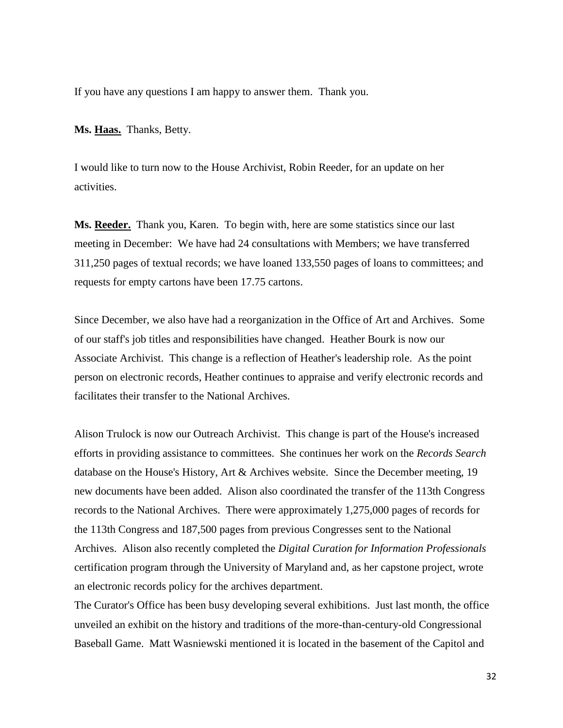If you have any questions I am happy to answer them. Thank you.

**Ms. Haas.** Thanks, Betty.

I would like to turn now to the House Archivist, Robin Reeder, for an update on her activities.

**Ms. Reeder.** Thank you, Karen. To begin with, here are some statistics since our last meeting in December: We have had 24 consultations with Members; we have transferred 311,250 pages of textual records; we have loaned 133,550 pages of loans to committees; and requests for empty cartons have been 17.75 cartons.

Since December, we also have had a reorganization in the Office of Art and Archives. Some of our staff's job titles and responsibilities have changed. Heather Bourk is now our Associate Archivist. This change is a reflection of Heather's leadership role. As the point person on electronic records, Heather continues to appraise and verify electronic records and facilitates their transfer to the National Archives.

Alison Trulock is now our Outreach Archivist. This change is part of the House's increased efforts in providing assistance to committees. She continues her work on the *Records Search*  database on the House's History, Art & Archives website. Since the December meeting, 19 new documents have been added. Alison also coordinated the transfer of the 113th Congress records to the National Archives. There were approximately 1,275,000 pages of records for the 113th Congress and 187,500 pages from previous Congresses sent to the National Archives. Alison also recently completed the *Digital Curation for Information Professionals*  certification program through the University of Maryland and, as her capstone project, wrote an electronic records policy for the archives department.

The Curator's Office has been busy developing several exhibitions. Just last month, the office unveiled an exhibit on the history and traditions of the more-than-century-old Congressional Baseball Game. Matt Wasniewski mentioned it is located in the basement of the Capitol and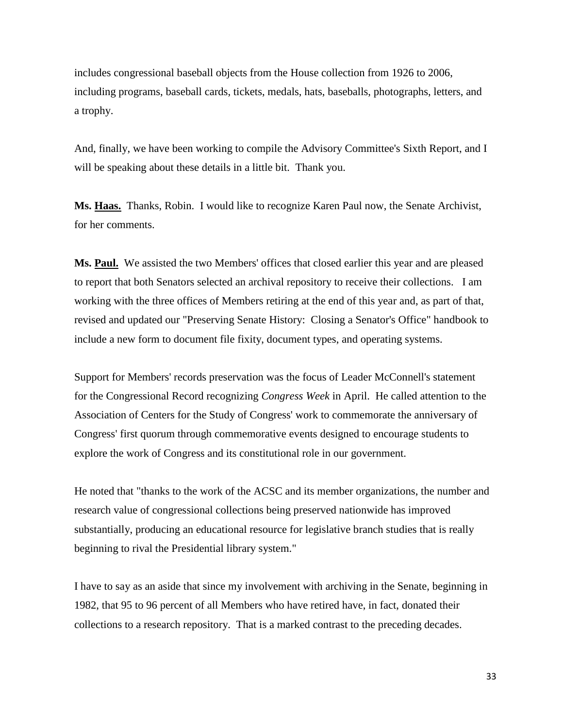includes congressional baseball objects from the House collection from 1926 to 2006, including programs, baseball cards, tickets, medals, hats, baseballs, photographs, letters, and a trophy.

And, finally, we have been working to compile the Advisory Committee's Sixth Report, and I will be speaking about these details in a little bit. Thank you.

**Ms. Haas.** Thanks, Robin. I would like to recognize Karen Paul now, the Senate Archivist, for her comments.

**Ms. Paul.** We assisted the two Members' offices that closed earlier this year and are pleased to report that both Senators selected an archival repository to receive their collections. I am working with the three offices of Members retiring at the end of this year and, as part of that, revised and updated our "Preserving Senate History: Closing a Senator's Office" handbook to include a new form to document file fixity, document types, and operating systems.

Support for Members' records preservation was the focus of Leader McConnell's statement for the Congressional Record recognizing *Congress Week* in April. He called attention to the Association of Centers for the Study of Congress' work to commemorate the anniversary of Congress' first quorum through commemorative events designed to encourage students to explore the work of Congress and its constitutional role in our government.

He noted that "thanks to the work of the ACSC and its member organizations, the number and research value of congressional collections being preserved nationwide has improved substantially, producing an educational resource for legislative branch studies that is really beginning to rival the Presidential library system."

I have to say as an aside that since my involvement with archiving in the Senate, beginning in 1982, that 95 to 96 percent of all Members who have retired have, in fact, donated their collections to a research repository. That is a marked contrast to the preceding decades.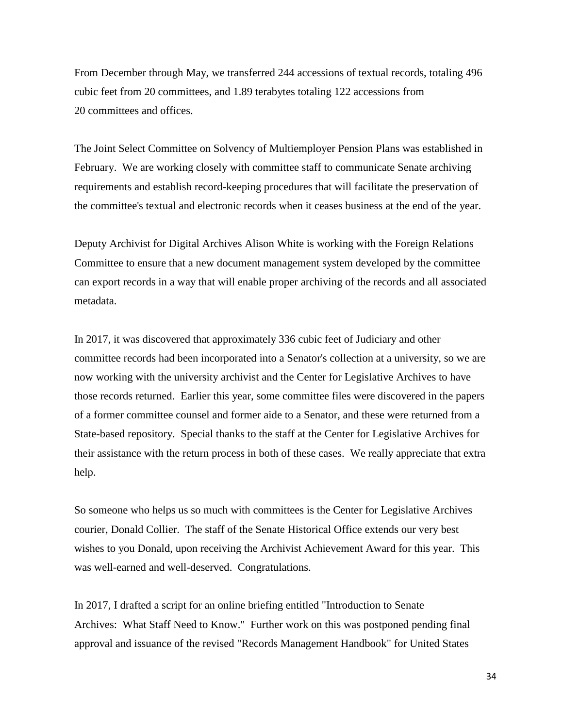From December through May, we transferred 244 accessions of textual records, totaling 496 cubic feet from 20 committees, and 1.89 terabytes totaling 122 accessions from 20 committees and offices.

The Joint Select Committee on Solvency of Multiemployer Pension Plans was established in February. We are working closely with committee staff to communicate Senate archiving requirements and establish record-keeping procedures that will facilitate the preservation of the committee's textual and electronic records when it ceases business at the end of the year.

Deputy Archivist for Digital Archives Alison White is working with the Foreign Relations Committee to ensure that a new document management system developed by the committee can export records in a way that will enable proper archiving of the records and all associated metadata.

In 2017, it was discovered that approximately 336 cubic feet of Judiciary and other committee records had been incorporated into a Senator's collection at a university, so we are now working with the university archivist and the Center for Legislative Archives to have those records returned. Earlier this year, some committee files were discovered in the papers of a former committee counsel and former aide to a Senator, and these were returned from a State-based repository. Special thanks to the staff at the Center for Legislative Archives for their assistance with the return process in both of these cases. We really appreciate that extra help.

So someone who helps us so much with committees is the Center for Legislative Archives courier, Donald Collier. The staff of the Senate Historical Office extends our very best wishes to you Donald, upon receiving the Archivist Achievement Award for this year. This was well-earned and well-deserved. Congratulations.

In 2017, I drafted a script for an online briefing entitled "Introduction to Senate Archives: What Staff Need to Know." Further work on this was postponed pending final approval and issuance of the revised "Records Management Handbook" for United States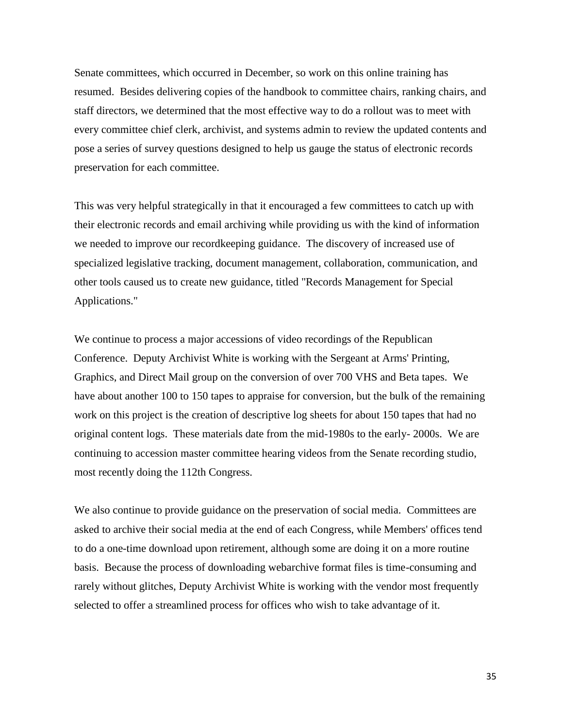Senate committees, which occurred in December, so work on this online training has resumed. Besides delivering copies of the handbook to committee chairs, ranking chairs, and staff directors, we determined that the most effective way to do a rollout was to meet with every committee chief clerk, archivist, and systems admin to review the updated contents and pose a series of survey questions designed to help us gauge the status of electronic records preservation for each committee.

This was very helpful strategically in that it encouraged a few committees to catch up with their electronic records and email archiving while providing us with the kind of information we needed to improve our recordkeeping guidance. The discovery of increased use of specialized legislative tracking, document management, collaboration, communication, and other tools caused us to create new guidance, titled "Records Management for Special Applications."

We continue to process a major accessions of video recordings of the Republican Conference. Deputy Archivist White is working with the Sergeant at Arms' Printing, Graphics, and Direct Mail group on the conversion of over 700 VHS and Beta tapes. We have about another 100 to 150 tapes to appraise for conversion, but the bulk of the remaining work on this project is the creation of descriptive log sheets for about 150 tapes that had no original content logs. These materials date from the mid-1980s to the early- 2000s. We are continuing to accession master committee hearing videos from the Senate recording studio, most recently doing the 112th Congress.

We also continue to provide guidance on the preservation of social media. Committees are asked to archive their social media at the end of each Congress, while Members' offices tend to do a one-time download upon retirement, although some are doing it on a more routine basis. Because the process of downloading webarchive format files is time-consuming and rarely without glitches, Deputy Archivist White is working with the vendor most frequently selected to offer a streamlined process for offices who wish to take advantage of it.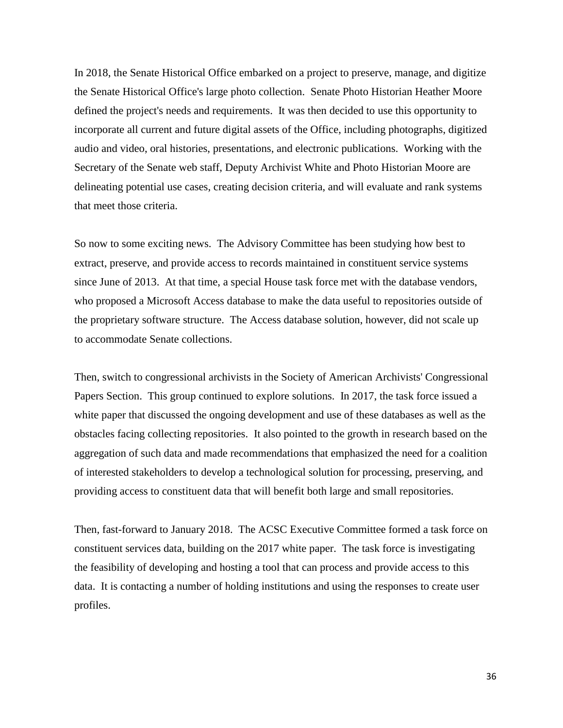In 2018, the Senate Historical Office embarked on a project to preserve, manage, and digitize the Senate Historical Office's large photo collection. Senate Photo Historian Heather Moore defined the project's needs and requirements. It was then decided to use this opportunity to incorporate all current and future digital assets of the Office, including photographs, digitized audio and video, oral histories, presentations, and electronic publications. Working with the Secretary of the Senate web staff, Deputy Archivist White and Photo Historian Moore are delineating potential use cases, creating decision criteria, and will evaluate and rank systems that meet those criteria.

So now to some exciting news. The Advisory Committee has been studying how best to extract, preserve, and provide access to records maintained in constituent service systems since June of 2013. At that time, a special House task force met with the database vendors, who proposed a Microsoft Access database to make the data useful to repositories outside of the proprietary software structure. The Access database solution, however, did not scale up to accommodate Senate collections.

Then, switch to congressional archivists in the Society of American Archivists' Congressional Papers Section. This group continued to explore solutions. In 2017, the task force issued a white paper that discussed the ongoing development and use of these databases as well as the obstacles facing collecting repositories. It also pointed to the growth in research based on the aggregation of such data and made recommendations that emphasized the need for a coalition of interested stakeholders to develop a technological solution for processing, preserving, and providing access to constituent data that will benefit both large and small repositories.

Then, fast-forward to January 2018. The ACSC Executive Committee formed a task force on constituent services data, building on the 2017 white paper. The task force is investigating the feasibility of developing and hosting a tool that can process and provide access to this data. It is contacting a number of holding institutions and using the responses to create user profiles.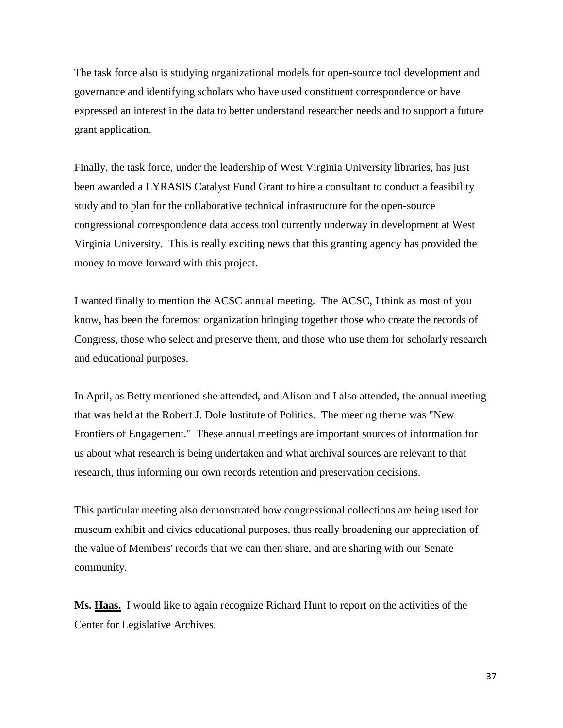The task force also is studying organizational models for open-source tool development and governance and identifying scholars who have used constituent correspondence or have expressed an interest in the data to better understand researcher needs and to support a future grant application.

Finally, the task force, under the leadership of West Virginia University libraries, has just been awarded a LYRASIS Catalyst Fund Grant to hire a consultant to conduct a feasibility study and to plan for the collaborative technical infrastructure for the open-source congressional correspondence data access tool currently underway in development at West Virginia University. This is really exciting news that this granting agency has provided the money to move forward with this project.

I wanted finally to mention the ACSC annual meeting. The ACSC, I think as most of you know, has been the foremost organization bringing together those who create the records of Congress, those who select and preserve them, and those who use them for scholarly research and educational purposes.

In April, as Betty mentioned she attended, and Alison and I also attended, the annual meeting that was held at the Robert J. Dole Institute of Politics. The meeting theme was "New Frontiers of Engagement." These annual meetings are important sources of information for us about what research is being undertaken and what archival sources are relevant to that research, thus informing our own records retention and preservation decisions.

This particular meeting also demonstrated how congressional collections are being used for museum exhibit and civics educational purposes, thus really broadening our appreciation of the value of Members' records that we can then share, and are sharing with our Senate community.

**Ms. Haas.** I would like to again recognize Richard Hunt to report on the activities of the Center for Legislative Archives.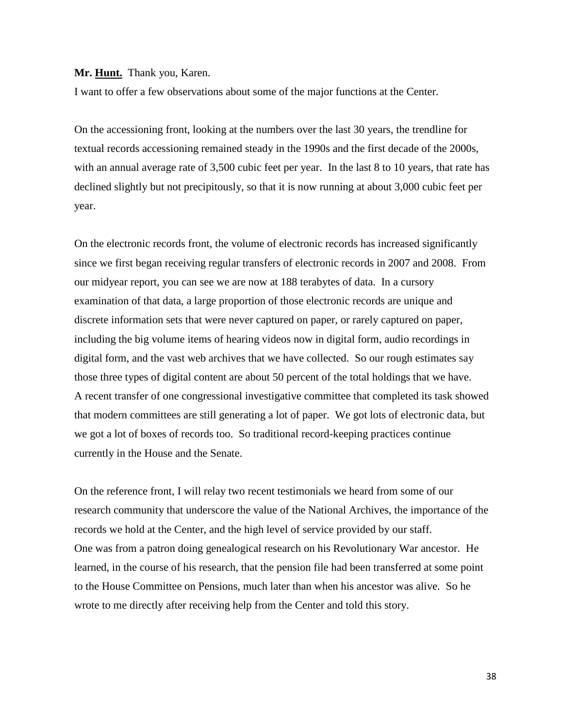#### **Mr. Hunt.** Thank you, Karen.

I want to offer a few observations about some of the major functions at the Center.

On the accessioning front, looking at the numbers over the last 30 years, the trendline for textual records accessioning remained steady in the 1990s and the first decade of the 2000s, with an annual average rate of 3,500 cubic feet per year. In the last 8 to 10 years, that rate has declined slightly but not precipitously, so that it is now running at about 3,000 cubic feet per year.

On the electronic records front, the volume of electronic records has increased significantly since we first began receiving regular transfers of electronic records in 2007 and 2008. From our midyear report, you can see we are now at 188 terabytes of data. In a cursory examination of that data, a large proportion of those electronic records are unique and discrete information sets that were never captured on paper, or rarely captured on paper, including the big volume items of hearing videos now in digital form, audio recordings in digital form, and the vast web archives that we have collected. So our rough estimates say those three types of digital content are about 50 percent of the total holdings that we have. A recent transfer of one congressional investigative committee that completed its task showed that modern committees are still generating a lot of paper. We got lots of electronic data, but we got a lot of boxes of records too. So traditional record-keeping practices continue currently in the House and the Senate.

On the reference front, I will relay two recent testimonials we heard from some of our research community that underscore the value of the National Archives, the importance of the records we hold at the Center, and the high level of service provided by our staff. One was from a patron doing genealogical research on his Revolutionary War ancestor. He learned, in the course of his research, that the pension file had been transferred at some point to the House Committee on Pensions, much later than when his ancestor was alive. So he wrote to me directly after receiving help from the Center and told this story.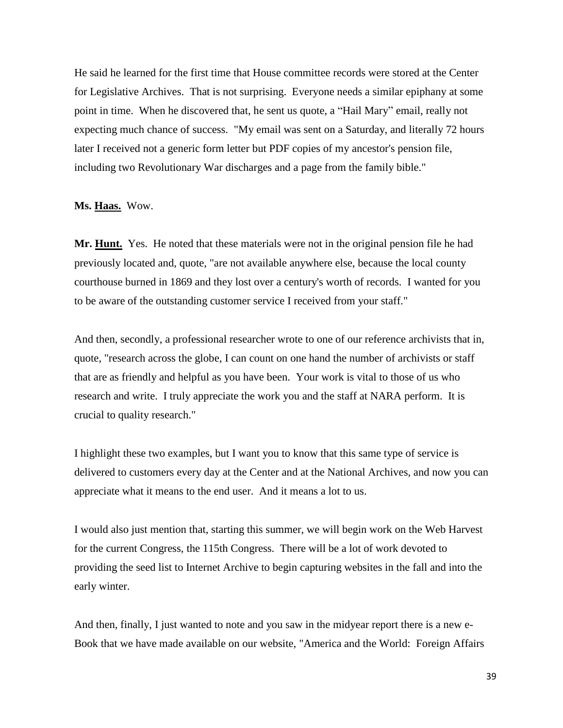He said he learned for the first time that House committee records were stored at the Center for Legislative Archives. That is not surprising. Everyone needs a similar epiphany at some point in time. When he discovered that, he sent us quote, a "Hail Mary" email, really not expecting much chance of success. "My email was sent on a Saturday, and literally 72 hours later I received not a generic form letter but PDF copies of my ancestor's pension file, including two Revolutionary War discharges and a page from the family bible."

**Ms. Haas.** Wow.

Mr. Hunt. Yes. He noted that these materials were not in the original pension file he had previously located and, quote, "are not available anywhere else, because the local county courthouse burned in 1869 and they lost over a century's worth of records. I wanted for you to be aware of the outstanding customer service I received from your staff."

And then, secondly, a professional researcher wrote to one of our reference archivists that in, quote, "research across the globe, I can count on one hand the number of archivists or staff that are as friendly and helpful as you have been. Your work is vital to those of us who research and write. I truly appreciate the work you and the staff at NARA perform. It is crucial to quality research."

I highlight these two examples, but I want you to know that this same type of service is delivered to customers every day at the Center and at the National Archives, and now you can appreciate what it means to the end user. And it means a lot to us.

I would also just mention that, starting this summer, we will begin work on the Web Harvest for the current Congress, the 115th Congress. There will be a lot of work devoted to providing the seed list to Internet Archive to begin capturing websites in the fall and into the early winter.

And then, finally, I just wanted to note and you saw in the midyear report there is a new e-Book that we have made available on our website, "America and the World: Foreign Affairs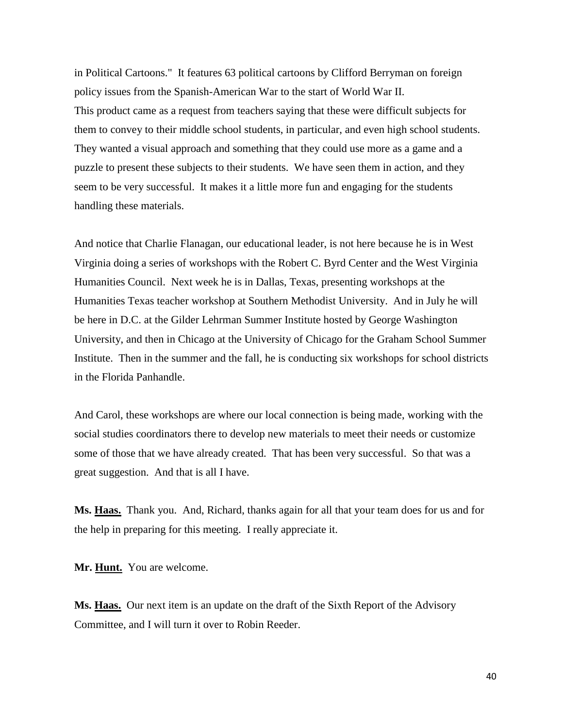in Political Cartoons." It features 63 political cartoons by Clifford Berryman on foreign policy issues from the Spanish-American War to the start of World War II. This product came as a request from teachers saying that these were difficult subjects for them to convey to their middle school students, in particular, and even high school students. They wanted a visual approach and something that they could use more as a game and a puzzle to present these subjects to their students. We have seen them in action, and they seem to be very successful. It makes it a little more fun and engaging for the students handling these materials.

And notice that Charlie Flanagan, our educational leader, is not here because he is in West Virginia doing a series of workshops with the Robert C. Byrd Center and the West Virginia Humanities Council. Next week he is in Dallas, Texas, presenting workshops at the Humanities Texas teacher workshop at Southern Methodist University. And in July he will be here in D.C. at the Gilder Lehrman Summer Institute hosted by George Washington University, and then in Chicago at the University of Chicago for the Graham School Summer Institute. Then in the summer and the fall, he is conducting six workshops for school districts in the Florida Panhandle.

And Carol, these workshops are where our local connection is being made, working with the social studies coordinators there to develop new materials to meet their needs or customize some of those that we have already created. That has been very successful. So that was a great suggestion. And that is all I have.

**Ms. Haas.** Thank you. And, Richard, thanks again for all that your team does for us and for the help in preparing for this meeting. I really appreciate it.

**Mr. Hunt.** You are welcome.

**Ms. Haas.** Our next item is an update on the draft of the Sixth Report of the Advisory Committee, and I will turn it over to Robin Reeder.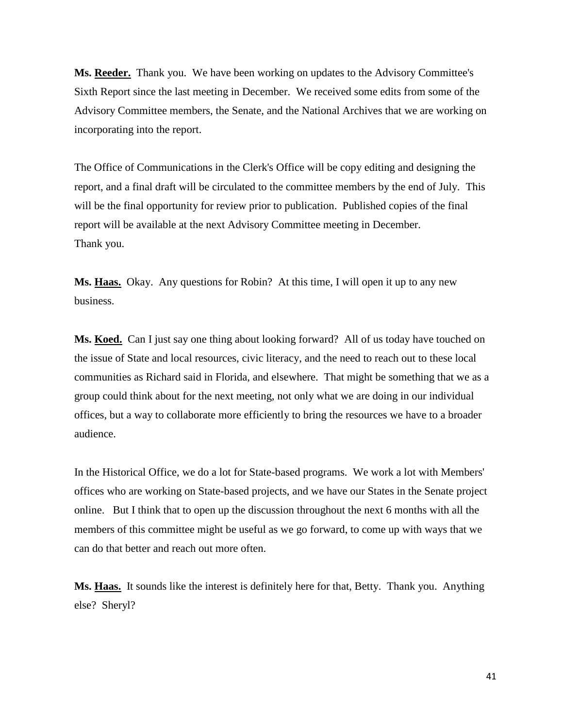**Ms. Reeder.** Thank you. We have been working on updates to the Advisory Committee's Sixth Report since the last meeting in December. We received some edits from some of the Advisory Committee members, the Senate, and the National Archives that we are working on incorporating into the report.

The Office of Communications in the Clerk's Office will be copy editing and designing the report, and a final draft will be circulated to the committee members by the end of July. This will be the final opportunity for review prior to publication. Published copies of the final report will be available at the next Advisory Committee meeting in December. Thank you.

**Ms. Haas.** Okay. Any questions for Robin? At this time, I will open it up to any new business.

Ms. Koed. Can I just say one thing about looking forward? All of us today have touched on the issue of State and local resources, civic literacy, and the need to reach out to these local communities as Richard said in Florida, and elsewhere. That might be something that we as a group could think about for the next meeting, not only what we are doing in our individual offices, but a way to collaborate more efficiently to bring the resources we have to a broader audience.

In the Historical Office, we do a lot for State-based programs. We work a lot with Members' offices who are working on State-based projects, and we have our States in the Senate project online. But I think that to open up the discussion throughout the next 6 months with all the members of this committee might be useful as we go forward, to come up with ways that we can do that better and reach out more often.

**Ms. Haas.** It sounds like the interest is definitely here for that, Betty. Thank you. Anything else? Sheryl?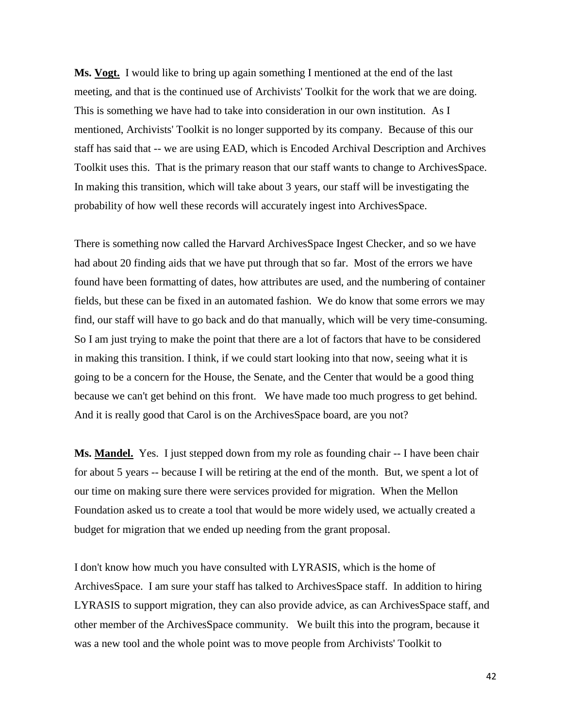**Ms. Vogt.** I would like to bring up again something I mentioned at the end of the last meeting, and that is the continued use of Archivists' Toolkit for the work that we are doing. This is something we have had to take into consideration in our own institution. As I mentioned, Archivists' Toolkit is no longer supported by its company. Because of this our staff has said that -- we are using EAD, which is Encoded Archival Description and Archives Toolkit uses this. That is the primary reason that our staff wants to change to ArchivesSpace. In making this transition, which will take about 3 years, our staff will be investigating the probability of how well these records will accurately ingest into ArchivesSpace.

There is something now called the Harvard ArchivesSpace Ingest Checker, and so we have had about 20 finding aids that we have put through that so far. Most of the errors we have found have been formatting of dates, how attributes are used, and the numbering of container fields, but these can be fixed in an automated fashion. We do know that some errors we may find, our staff will have to go back and do that manually, which will be very time-consuming. So I am just trying to make the point that there are a lot of factors that have to be considered in making this transition. I think, if we could start looking into that now, seeing what it is going to be a concern for the House, the Senate, and the Center that would be a good thing because we can't get behind on this front. We have made too much progress to get behind. And it is really good that Carol is on the ArchivesSpace board, are you not?

**Ms. Mandel.** Yes. I just stepped down from my role as founding chair -- I have been chair for about 5 years -- because I will be retiring at the end of the month. But, we spent a lot of our time on making sure there were services provided for migration. When the Mellon Foundation asked us to create a tool that would be more widely used, we actually created a budget for migration that we ended up needing from the grant proposal.

I don't know how much you have consulted with LYRASIS, which is the home of ArchivesSpace. I am sure your staff has talked to ArchivesSpace staff. In addition to hiring LYRASIS to support migration, they can also provide advice, as can ArchivesSpace staff, and other member of the ArchivesSpace community. We built this into the program, because it was a new tool and the whole point was to move people from Archivists' Toolkit to